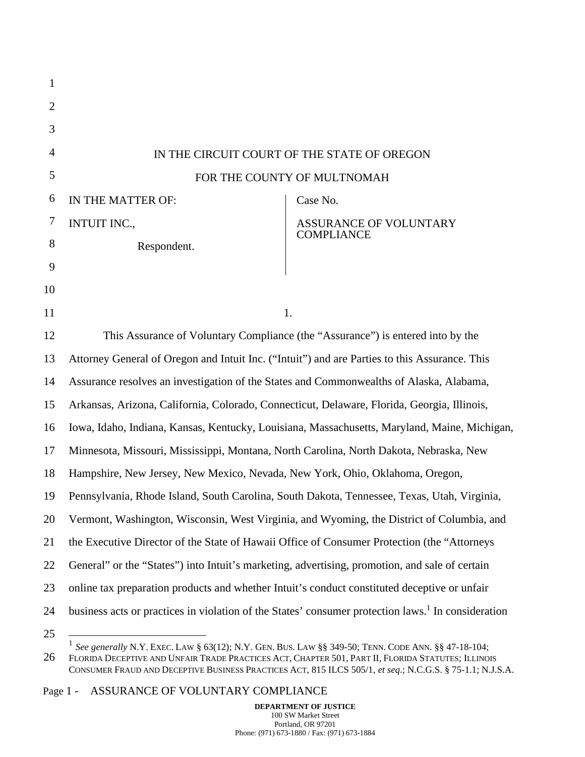| $\mathbf{1}$   |                                                                                                                |                                                                                           |  |
|----------------|----------------------------------------------------------------------------------------------------------------|-------------------------------------------------------------------------------------------|--|
| $\overline{2}$ |                                                                                                                |                                                                                           |  |
| 3              |                                                                                                                |                                                                                           |  |
| 4              |                                                                                                                | IN THE CIRCUIT COURT OF THE STATE OF OREGON                                               |  |
| 5              |                                                                                                                | FOR THE COUNTY OF MULTNOMAH                                                               |  |
| 6              | IN THE MATTER OF:                                                                                              | Case No.                                                                                  |  |
| 7              | <b>INTUIT INC.,</b>                                                                                            | ASSURANCE OF VOLUNTARY<br><b>COMPLIANCE</b>                                               |  |
| 8              | Respondent.                                                                                                    |                                                                                           |  |
| 9              |                                                                                                                |                                                                                           |  |
| 10             |                                                                                                                |                                                                                           |  |
| 11             |                                                                                                                | 1.                                                                                        |  |
| 12             | This Assurance of Voluntary Compliance (the "Assurance") is entered into by the                                |                                                                                           |  |
| 13             | Attorney General of Oregon and Intuit Inc. ("Intuit") and are Parties to this Assurance. This                  |                                                                                           |  |
| 14             | Assurance resolves an investigation of the States and Commonwealths of Alaska, Alabama,                        |                                                                                           |  |
| 15             | Arkansas, Arizona, California, Colorado, Connecticut, Delaware, Florida, Georgia, Illinois,                    |                                                                                           |  |
| 16             | Iowa, Idaho, Indiana, Kansas, Kentucky, Louisiana, Massachusetts, Maryland, Maine, Michigan,                   |                                                                                           |  |
| 17             | Minnesota, Missouri, Mississippi, Montana, North Carolina, North Dakota, Nebraska, New                         |                                                                                           |  |
| 18             | Hampshire, New Jersey, New Mexico, Nevada, New York, Ohio, Oklahoma, Oregon,                                   |                                                                                           |  |
| 19             | Pennsylvania, Rhode Island, South Carolina, South Dakota, Tennessee, Texas, Utah, Virginia,                    |                                                                                           |  |
| 20             |                                                                                                                | Vermont, Washington, Wisconsin, West Virginia, and Wyoming, the District of Columbia, and |  |
| 21             | the Executive Director of the State of Hawaii Office of Consumer Protection (the "Attorneys"                   |                                                                                           |  |
| 22             | General" or the "States") into Intuit's marketing, advertising, promotion, and sale of certain                 |                                                                                           |  |
| 23             | online tax preparation products and whether Intuit's conduct constituted deceptive or unfair                   |                                                                                           |  |
| 24             | business acts or practices in violation of the States' consumer protection laws. <sup>1</sup> In consideration |                                                                                           |  |
| 25             |                                                                                                                |                                                                                           |  |

26 1 *See generally* N.Y. EXEC. LAW § 63(12); N.Y. GEN. BUS. LAW §§ 349-50; TENN. CODE ANN. §§ 47-18-104; FLORIDA DECEPTIVE AND UNFAIR TRADE PRACTICES ACT, CHAPTER 501, PART II, FLORIDA STATUTES; ILLINOIS CONSUMER FRAUD AND DECEPTIVE BUSINESS PRACTICES ACT, 815 ILCS 505/1, *et seq*.; N.C.G.S. § 75-1.1; N.J.S.A.

Page 1 - ASSURANCE OF VOLUNTARY COMPLIANCE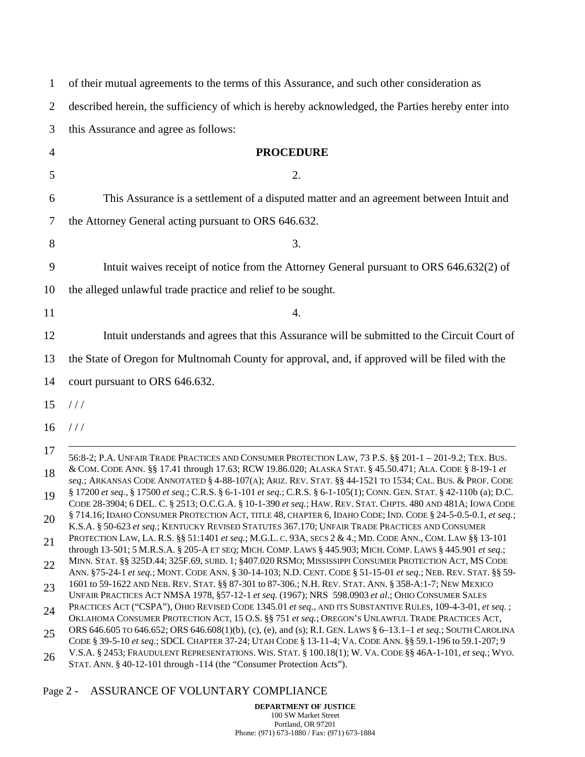| 1                                                        | of their mutual agreements to the terms of this Assurance, and such other consideration as                                                                                                                                                                                                                                                                                                                                                                                                                                                                                                                                                                                                                                                                                                                                                                                                                                                                                                                                                                                                                                                                                                                                                                                                                                                                                                                                                                                                                                                                                                                                                                                                                                                                                                                                                                                                                                                                                                                                                                                                               |
|----------------------------------------------------------|----------------------------------------------------------------------------------------------------------------------------------------------------------------------------------------------------------------------------------------------------------------------------------------------------------------------------------------------------------------------------------------------------------------------------------------------------------------------------------------------------------------------------------------------------------------------------------------------------------------------------------------------------------------------------------------------------------------------------------------------------------------------------------------------------------------------------------------------------------------------------------------------------------------------------------------------------------------------------------------------------------------------------------------------------------------------------------------------------------------------------------------------------------------------------------------------------------------------------------------------------------------------------------------------------------------------------------------------------------------------------------------------------------------------------------------------------------------------------------------------------------------------------------------------------------------------------------------------------------------------------------------------------------------------------------------------------------------------------------------------------------------------------------------------------------------------------------------------------------------------------------------------------------------------------------------------------------------------------------------------------------------------------------------------------------------------------------------------------------|
| $\overline{2}$                                           | described herein, the sufficiency of which is hereby acknowledged, the Parties hereby enter into                                                                                                                                                                                                                                                                                                                                                                                                                                                                                                                                                                                                                                                                                                                                                                                                                                                                                                                                                                                                                                                                                                                                                                                                                                                                                                                                                                                                                                                                                                                                                                                                                                                                                                                                                                                                                                                                                                                                                                                                         |
| 3                                                        | this Assurance and agree as follows:                                                                                                                                                                                                                                                                                                                                                                                                                                                                                                                                                                                                                                                                                                                                                                                                                                                                                                                                                                                                                                                                                                                                                                                                                                                                                                                                                                                                                                                                                                                                                                                                                                                                                                                                                                                                                                                                                                                                                                                                                                                                     |
| $\overline{4}$                                           | <b>PROCEDURE</b>                                                                                                                                                                                                                                                                                                                                                                                                                                                                                                                                                                                                                                                                                                                                                                                                                                                                                                                                                                                                                                                                                                                                                                                                                                                                                                                                                                                                                                                                                                                                                                                                                                                                                                                                                                                                                                                                                                                                                                                                                                                                                         |
| 5                                                        | 2.                                                                                                                                                                                                                                                                                                                                                                                                                                                                                                                                                                                                                                                                                                                                                                                                                                                                                                                                                                                                                                                                                                                                                                                                                                                                                                                                                                                                                                                                                                                                                                                                                                                                                                                                                                                                                                                                                                                                                                                                                                                                                                       |
| 6                                                        | This Assurance is a settlement of a disputed matter and an agreement between Intuit and                                                                                                                                                                                                                                                                                                                                                                                                                                                                                                                                                                                                                                                                                                                                                                                                                                                                                                                                                                                                                                                                                                                                                                                                                                                                                                                                                                                                                                                                                                                                                                                                                                                                                                                                                                                                                                                                                                                                                                                                                  |
| 7                                                        | the Attorney General acting pursuant to ORS 646.632.                                                                                                                                                                                                                                                                                                                                                                                                                                                                                                                                                                                                                                                                                                                                                                                                                                                                                                                                                                                                                                                                                                                                                                                                                                                                                                                                                                                                                                                                                                                                                                                                                                                                                                                                                                                                                                                                                                                                                                                                                                                     |
| 8                                                        | 3.                                                                                                                                                                                                                                                                                                                                                                                                                                                                                                                                                                                                                                                                                                                                                                                                                                                                                                                                                                                                                                                                                                                                                                                                                                                                                                                                                                                                                                                                                                                                                                                                                                                                                                                                                                                                                                                                                                                                                                                                                                                                                                       |
| 9                                                        | Intuit waives receipt of notice from the Attorney General pursuant to ORS 646.632(2) of                                                                                                                                                                                                                                                                                                                                                                                                                                                                                                                                                                                                                                                                                                                                                                                                                                                                                                                                                                                                                                                                                                                                                                                                                                                                                                                                                                                                                                                                                                                                                                                                                                                                                                                                                                                                                                                                                                                                                                                                                  |
|                                                          |                                                                                                                                                                                                                                                                                                                                                                                                                                                                                                                                                                                                                                                                                                                                                                                                                                                                                                                                                                                                                                                                                                                                                                                                                                                                                                                                                                                                                                                                                                                                                                                                                                                                                                                                                                                                                                                                                                                                                                                                                                                                                                          |
| 10                                                       | the alleged unlawful trade practice and relief to be sought.                                                                                                                                                                                                                                                                                                                                                                                                                                                                                                                                                                                                                                                                                                                                                                                                                                                                                                                                                                                                                                                                                                                                                                                                                                                                                                                                                                                                                                                                                                                                                                                                                                                                                                                                                                                                                                                                                                                                                                                                                                             |
| 11                                                       | 4.                                                                                                                                                                                                                                                                                                                                                                                                                                                                                                                                                                                                                                                                                                                                                                                                                                                                                                                                                                                                                                                                                                                                                                                                                                                                                                                                                                                                                                                                                                                                                                                                                                                                                                                                                                                                                                                                                                                                                                                                                                                                                                       |
| 12                                                       | Intuit understands and agrees that this Assurance will be submitted to the Circuit Court of                                                                                                                                                                                                                                                                                                                                                                                                                                                                                                                                                                                                                                                                                                                                                                                                                                                                                                                                                                                                                                                                                                                                                                                                                                                                                                                                                                                                                                                                                                                                                                                                                                                                                                                                                                                                                                                                                                                                                                                                              |
| 13                                                       | the State of Oregon for Multnomah County for approval, and, if approved will be filed with the                                                                                                                                                                                                                                                                                                                                                                                                                                                                                                                                                                                                                                                                                                                                                                                                                                                                                                                                                                                                                                                                                                                                                                                                                                                                                                                                                                                                                                                                                                                                                                                                                                                                                                                                                                                                                                                                                                                                                                                                           |
| 14                                                       | court pursuant to ORS 646.632.                                                                                                                                                                                                                                                                                                                                                                                                                                                                                                                                                                                                                                                                                                                                                                                                                                                                                                                                                                                                                                                                                                                                                                                                                                                                                                                                                                                                                                                                                                                                                                                                                                                                                                                                                                                                                                                                                                                                                                                                                                                                           |
| 15                                                       | //                                                                                                                                                                                                                                                                                                                                                                                                                                                                                                                                                                                                                                                                                                                                                                                                                                                                                                                                                                                                                                                                                                                                                                                                                                                                                                                                                                                                                                                                                                                                                                                                                                                                                                                                                                                                                                                                                                                                                                                                                                                                                                       |
| 16                                                       | //                                                                                                                                                                                                                                                                                                                                                                                                                                                                                                                                                                                                                                                                                                                                                                                                                                                                                                                                                                                                                                                                                                                                                                                                                                                                                                                                                                                                                                                                                                                                                                                                                                                                                                                                                                                                                                                                                                                                                                                                                                                                                                       |
|                                                          |                                                                                                                                                                                                                                                                                                                                                                                                                                                                                                                                                                                                                                                                                                                                                                                                                                                                                                                                                                                                                                                                                                                                                                                                                                                                                                                                                                                                                                                                                                                                                                                                                                                                                                                                                                                                                                                                                                                                                                                                                                                                                                          |
| 17<br>18<br>19<br>20<br>21<br>22<br>23<br>24<br>25<br>26 | 56:8-2; P.A. UNFAIR TRADE PRACTICES AND CONSUMER PROTECTION LAW, 73 P.S. §§ 201-1 - 201-9.2; TEX. BUS.<br>& COM. CODE ANN. §§ 17.41 through 17.63; RCW 19.86.020; ALASKA STAT. § 45.50.471; ALA. CODE § 8-19-1 et<br>seq.; ARKANSAS CODE ANNOTATED § 4-88-107(A); ARIZ. REV. STAT. §§ 44-1521 TO 1534; CAL. BUS. & PROF. CODE<br>§ 17200 et seq., § 17500 et seq.; C.R.S. § 6-1-101 et seq.; C.R.S. § 6-1-105(1); CONN. GEN. STAT. § 42-110b (a); D.C.<br>CODE 28-3904; 6 DEL. C. § 2513; O.C.G.A. § 10-1-390 et seq.; HAW. REV. STAT. CHPTS. 480 AND 481A; IOWA CODE<br>§ 714.16; IDAHO CONSUMER PROTECTION ACT, TITLE 48, CHAPTER 6, IDAHO CODE; IND. CODE § 24-5-0.5-0.1, et seq.;<br>K.S.A. § 50-623 et seq.; KENTUCKY REVISED STATUTES 367.170; UNFAIR TRADE PRACTICES AND CONSUMER<br>PROTECTION LAW, LA. R.S. §§ 51:1401 et seq.; M.G.L. C. 93A, SECS 2 & 4.; MD. CODE ANN., COM. LAW §§ 13-101<br>through 13-501; 5 M.R.S.A. § 205-A ET SEQ; MICH. COMP. LAWS § 445.903; MICH. COMP. LAWS § 445.901 et seq.;<br>MINN. STAT. §§ 325D.44; 325F.69, SUBD. 1; §407.020 RSMO; MISSISSIPPI CONSUMER PROTECTION ACT, MS CODE<br>ANN. §75-24-1 et seq.; MONT. CODE ANN. § 30-14-103; N.D. CENT. CODE § 51-15-01 et seq.; NEB. REV. STAT. §§ 59-<br>1601 to 59-1622 AND NEB. REV. STAT. §§ 87-301 to 87-306.; N.H. REV. STAT. ANN. § 358-A:1-7; NEW MEXICO<br>UNFAIR PRACTICES ACT NMSA 1978, §57-12-1 et seq. (1967); NRS 598.0903 et al.; OHIO CONSUMER SALES<br>PRACTICES ACT ("CSPA"), OHIO REVISED CODE 1345.01 et seq., AND ITS SUBSTANTIVE RULES, 109-4-3-01, et seq.;<br>OKLAHOMA CONSUMER PROTECTION ACT, 15 O.S. §§ 751 et seq.; OREGON'S UNLAWFUL TRADE PRACTICES ACT,<br>ORS 646.605 TO 646.652; ORS 646.608(1)(b), (c), (e), and (s); R.I. GEN. LAWS § 6-13.1-1 et seq.; SOUTH CAROLINA<br>CODE § 39-5-10 et seq.; SDCL CHAPTER 37-24; UTAH CODE § 13-11-4; VA. CODE ANN. § § 59.1-196 to 59.1-207; 9<br>V.S.A. § 2453; FRAUDULENT REPRESENTATIONS. WIS. STAT. § 100.18(1); W. VA. CODE §§ 46A-1-101, et seq.; WYO.<br>STAT. ANN. § 40-12-101 through -114 (the "Consumer Protection Acts"). |

# Page 2 - ASSURANCE OF VOLUNTARY COMPLIANCE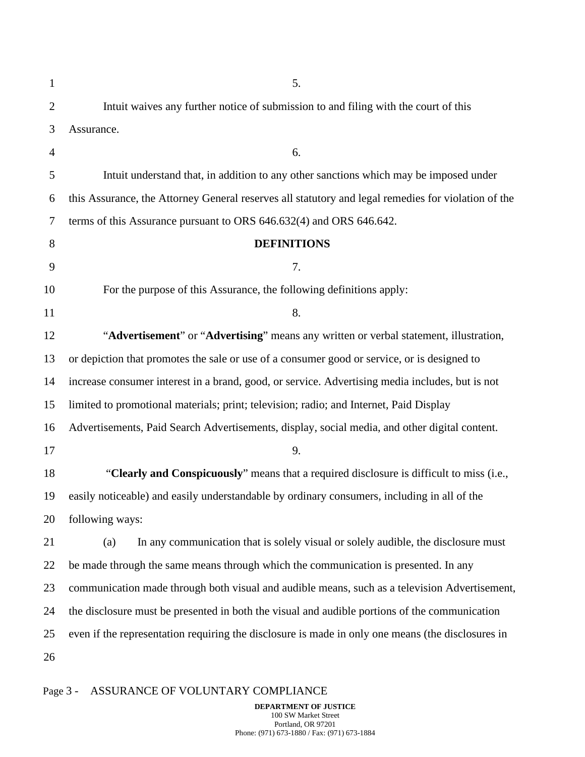| $\mathbf{1}$   | 5.                                                                                                  |
|----------------|-----------------------------------------------------------------------------------------------------|
| $\overline{2}$ | Intuit waives any further notice of submission to and filing with the court of this                 |
| 3              | Assurance.                                                                                          |
| 4              | 6.                                                                                                  |
| 5              | Intuit understand that, in addition to any other sanctions which may be imposed under               |
| 6              | this Assurance, the Attorney General reserves all statutory and legal remedies for violation of the |
| 7              | terms of this Assurance pursuant to ORS 646.632(4) and ORS 646.642.                                 |
| 8              | <b>DEFINITIONS</b>                                                                                  |
| 9              | 7.                                                                                                  |
| 10             | For the purpose of this Assurance, the following definitions apply:                                 |
| 11             | 8.                                                                                                  |
| 12             | "Advertisement" or "Advertising" means any written or verbal statement, illustration,               |
| 13             | or depiction that promotes the sale or use of a consumer good or service, or is designed to         |
| 14             | increase consumer interest in a brand, good, or service. Advertising media includes, but is not     |
| 15             | limited to promotional materials; print; television; radio; and Internet, Paid Display              |
| 16             | Advertisements, Paid Search Advertisements, display, social media, and other digital content.       |
| 17             | 9.                                                                                                  |
| 18             | "Clearly and Conspicuously" means that a required disclosure is difficult to miss (i.e.,            |
| 19             | easily noticeable) and easily understandable by ordinary consumers, including in all of the         |
| 20             | following ways:                                                                                     |
| 21             | In any communication that is solely visual or solely audible, the disclosure must<br>(a)            |
| 22             | be made through the same means through which the communication is presented. In any                 |
| 23             | communication made through both visual and audible means, such as a television Advertisement,       |
| 24             | the disclosure must be presented in both the visual and audible portions of the communication       |
| 25             | even if the representation requiring the disclosure is made in only one means (the disclosures in   |
| 26             |                                                                                                     |

# Page 3 - ASSURANCE OF VOLUNTARY COMPLIANCE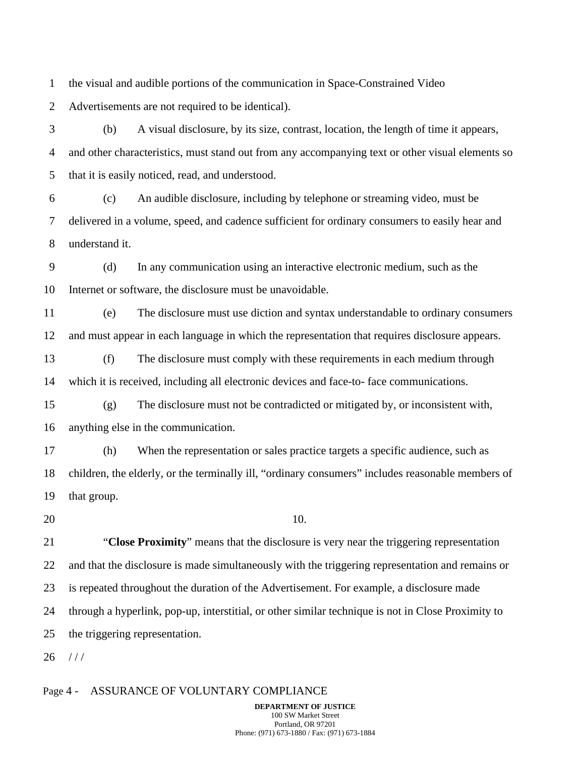1 the visual and audible portions of the communication in Space-Constrained Video

2 Advertisements are not required to be identical).

3 4 5 (b) A visual disclosure, by its size, contrast, location, the length of time it appears, and other characteristics, must stand out from any accompanying text or other visual elements so that it is easily noticed, read, and understood.

6 7 8 (c) An audible disclosure, including by telephone or streaming video, must be delivered in a volume, speed, and cadence sufficient for ordinary consumers to easily hear and understand it.

9 10 (d) In any communication using an interactive electronic medium, such as the Internet or software, the disclosure must be unavoidable.

11 12 (e) The disclosure must use diction and syntax understandable to ordinary consumers and must appear in each language in which the representation that requires disclosure appears.

13 14 (f) The disclosure must comply with these requirements in each medium through which it is received, including all electronic devices and face-to- face communications.

15 16 (g) The disclosure must not be contradicted or mitigated by, or inconsistent with, anything else in the communication.

17 18 19 (h) When the representation or sales practice targets a specific audience, such as children, the elderly, or the terminally ill, "ordinary consumers" includes reasonable members of that group.

20

10.

21 22 23 24 25 "**Close Proximity**" means that the disclosure is very near the triggering representation and that the disclosure is made simultaneously with the triggering representation and remains or is repeated throughout the duration of the Advertisement. For example, a disclosure made through a hyperlink, pop-up, interstitial, or other similar technique is not in Close Proximity to the triggering representation.

26 / / /

#### Page 4 - ASSURANCE OF VOLUNTARY COMPLIANCE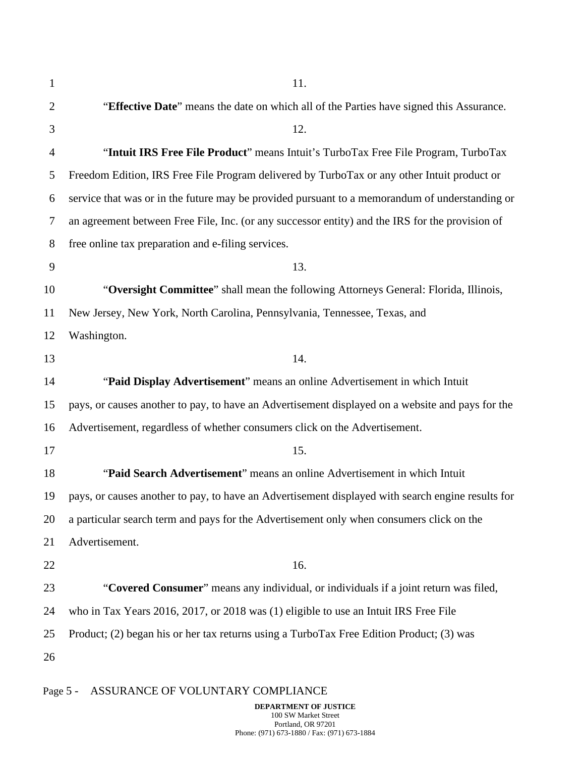| 1  | 11.                                                                                               |
|----|---------------------------------------------------------------------------------------------------|
| 2  | "Effective Date" means the date on which all of the Parties have signed this Assurance.           |
| 3  | 12.                                                                                               |
| 4  | "Intuit IRS Free File Product" means Intuit's TurboTax Free File Program, TurboTax                |
| 5  | Freedom Edition, IRS Free File Program delivered by TurboTax or any other Intuit product or       |
| 6  | service that was or in the future may be provided pursuant to a memorandum of understanding or    |
| 7  | an agreement between Free File, Inc. (or any successor entity) and the IRS for the provision of   |
| 8  | free online tax preparation and e-filing services.                                                |
| 9  | 13.                                                                                               |
| 10 | "Oversight Committee" shall mean the following Attorneys General: Florida, Illinois,              |
| 11 | New Jersey, New York, North Carolina, Pennsylvania, Tennessee, Texas, and                         |
| 12 | Washington.                                                                                       |
| 13 | 14.                                                                                               |
| 14 | "Paid Display Advertisement" means an online Advertisement in which Intuit                        |
| 15 | pays, or causes another to pay, to have an Advertisement displayed on a website and pays for the  |
| 16 | Advertisement, regardless of whether consumers click on the Advertisement.                        |
| 17 | 15.                                                                                               |
| 18 | "Paid Search Advertisement" means an online Advertisement in which Intuit                         |
| 19 | pays, or causes another to pay, to have an Advertisement displayed with search engine results for |
| 20 | a particular search term and pays for the Advertisement only when consumers click on the          |
| 21 | Advertisement.                                                                                    |
| 22 | 16.                                                                                               |
| 23 | "Covered Consumer" means any individual, or individuals if a joint return was filed,              |
| 24 | who in Tax Years 2016, 2017, or 2018 was (1) eligible to use an Intuit IRS Free File              |
| 25 | Product; (2) began his or her tax returns using a TurboTax Free Edition Product; (3) was          |
| 26 |                                                                                                   |
|    |                                                                                                   |

# Page 5 - ASSURANCE OF VOLUNTARY COMPLIANCE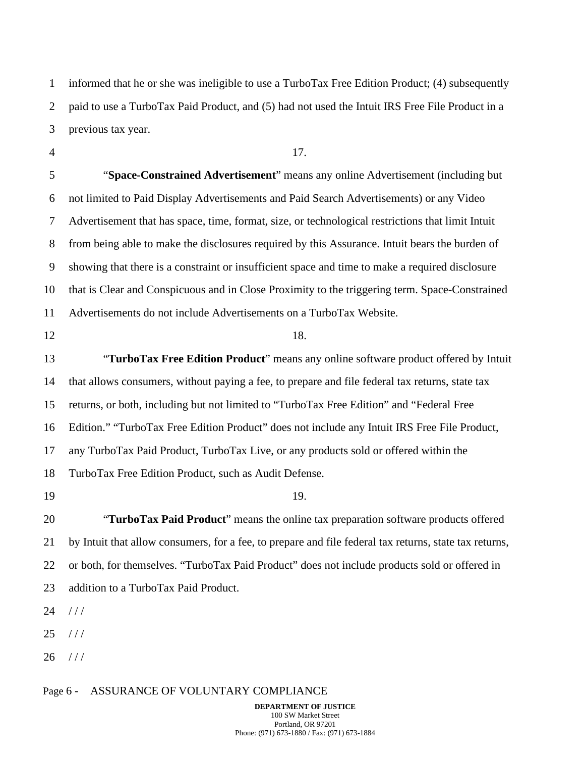1 2 3 informed that he or she was ineligible to use a TurboTax Free Edition Product; (4) subsequently paid to use a TurboTax Paid Product, and (5) had not used the Intuit IRS Free File Product in a previous tax year.

4

17.

5 6 7 8 9 10 11 "**Space-Constrained Advertisement**" means any online Advertisement (including but not limited to Paid Display Advertisements and Paid Search Advertisements) or any Video Advertisement that has space, time, format, size, or technological restrictions that limit Intuit from being able to make the disclosures required by this Assurance. Intuit bears the burden of showing that there is a constraint or insufficient space and time to make a required disclosure that is Clear and Conspicuous and in Close Proximity to the triggering term. Space-Constrained Advertisements do not include Advertisements on a TurboTax Website.

12

#### 18.

13 14 15 16 17 18 "**TurboTax Free Edition Product**" means any online software product offered by Intuit that allows consumers, without paying a fee, to prepare and file federal tax returns, state tax returns, or both, including but not limited to "TurboTax Free Edition" and "Federal Free Edition." "TurboTax Free Edition Product" does not include any Intuit IRS Free File Product, any TurboTax Paid Product, TurboTax Live, or any products sold or offered within the TurboTax Free Edition Product, such as Audit Defense.

19

19.

20 21 22 23 "**TurboTax Paid Product**" means the online tax preparation software products offered by Intuit that allow consumers, for a fee, to prepare and file federal tax returns, state tax returns, or both, for themselves. "TurboTax Paid Product" does not include products sold or offered in addition to a TurboTax Paid Product.

24  $///$ 

25  $1/1$ 

26  $///$ 

### Page 6 - ASSURANCE OF VOLUNTARY COMPLIANCE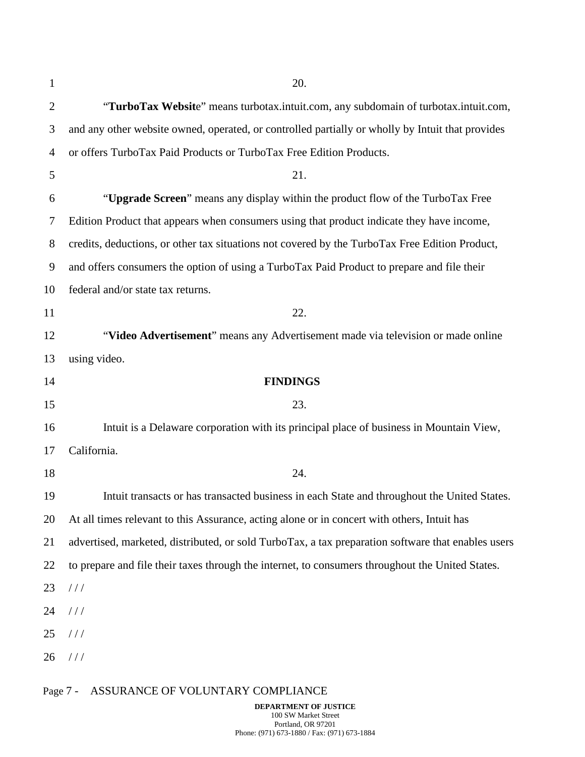| 1              | 20.                                                                                                |
|----------------|----------------------------------------------------------------------------------------------------|
| $\overline{2}$ | "TurboTax Website" means turbotax.intuit.com, any subdomain of turbotax.intuit.com,                |
| 3              | and any other website owned, operated, or controlled partially or wholly by Intuit that provides   |
| 4              | or offers TurboTax Paid Products or TurboTax Free Edition Products.                                |
| 5              | 21.                                                                                                |
| 6              | "Upgrade Screen" means any display within the product flow of the TurboTax Free                    |
| 7              | Edition Product that appears when consumers using that product indicate they have income,          |
| 8              | credits, deductions, or other tax situations not covered by the TurboTax Free Edition Product,     |
| 9              | and offers consumers the option of using a TurboTax Paid Product to prepare and file their         |
| 10             | federal and/or state tax returns.                                                                  |
| 11             | 22.                                                                                                |
| 12             | "Video Advertisement" means any Advertisement made via television or made online                   |
| 13             | using video.                                                                                       |
| 14             | <b>FINDINGS</b>                                                                                    |
| 15             | 23.                                                                                                |
| 16             | Intuit is a Delaware corporation with its principal place of business in Mountain View,            |
| 17             | California.                                                                                        |
| 18             | 24.                                                                                                |
| 19             | Intuit transacts or has transacted business in each State and throughout the United States.        |
| 20             | At all times relevant to this Assurance, acting alone or in concert with others, Intuit has        |
| 21             | advertised, marketed, distributed, or sold TurboTax, a tax preparation software that enables users |
| 22             | to prepare and file their taxes through the internet, to consumers throughout the United States.   |
| 23             | //                                                                                                 |
| 24             | //                                                                                                 |
| 25             | //                                                                                                 |
| 26             | //                                                                                                 |
| Page 7 -       | ASSURANCE OF VOLUNTARY COMPLIANCE                                                                  |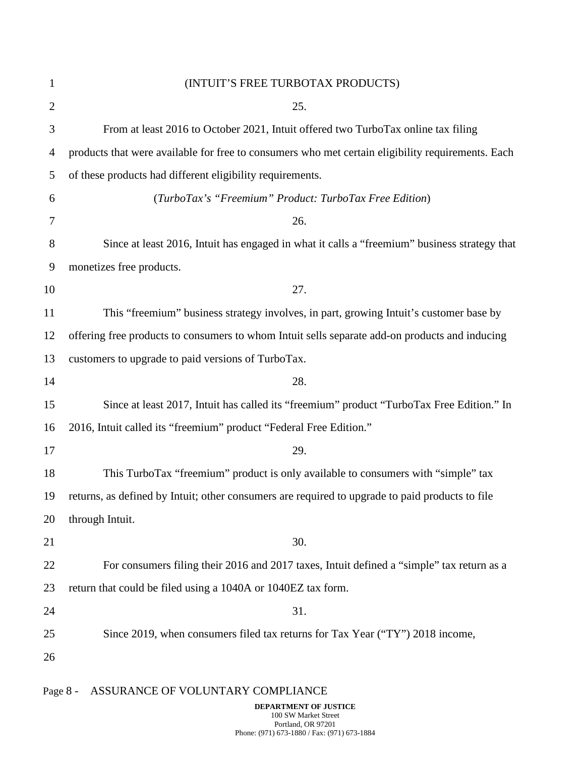| $\mathbf{1}$   | (INTUIT'S FREE TURBOTAX PRODUCTS)                                                                 |
|----------------|---------------------------------------------------------------------------------------------------|
| $\overline{2}$ | 25.                                                                                               |
| 3              | From at least 2016 to October 2021, Intuit offered two TurboTax online tax filing                 |
| 4              | products that were available for free to consumers who met certain eligibility requirements. Each |
| 5              | of these products had different eligibility requirements.                                         |
| 6              | (TurboTax's "Freemium" Product: TurboTax Free Edition)                                            |
| 7              | 26.                                                                                               |
| 8              | Since at least 2016, Intuit has engaged in what it calls a "freemium" business strategy that      |
| 9              | monetizes free products.                                                                          |
| 10             | 27.                                                                                               |
| 11             | This "freemium" business strategy involves, in part, growing Intuit's customer base by            |
| 12             | offering free products to consumers to whom Intuit sells separate add-on products and inducing    |
| 13             | customers to upgrade to paid versions of TurboTax.                                                |
| 14             | 28.                                                                                               |
| 15             | Since at least 2017, Intuit has called its "freemium" product "TurboTax Free Edition." In         |
| 16             | 2016, Intuit called its "freemium" product "Federal Free Edition."                                |
| 17             | 29.                                                                                               |
| 18             | This TurboTax "freemium" product is only available to consumers with "simple" tax                 |
| 19             | returns, as defined by Intuit; other consumers are required to upgrade to paid products to file   |
| 20             | through Intuit.                                                                                   |
| 21             | 30.                                                                                               |
| 22             | For consumers filing their 2016 and 2017 taxes, Intuit defined a "simple" tax return as a         |
| 23             | return that could be filed using a 1040A or 1040EZ tax form.                                      |
| 24             | 31.                                                                                               |
| 25             | Since 2019, when consumers filed tax returns for Tax Year ("TY") 2018 income,                     |
| 26             |                                                                                                   |
| Page 8 -       | ASSURANCE OF VOLUNTARY COMPLIANCE<br>DEPARTMENT OF JUSTICE                                        |

100 SW Market Street Portland, OR 97201 Phone: (971) 673-1880 / Fax: (971) 673-1884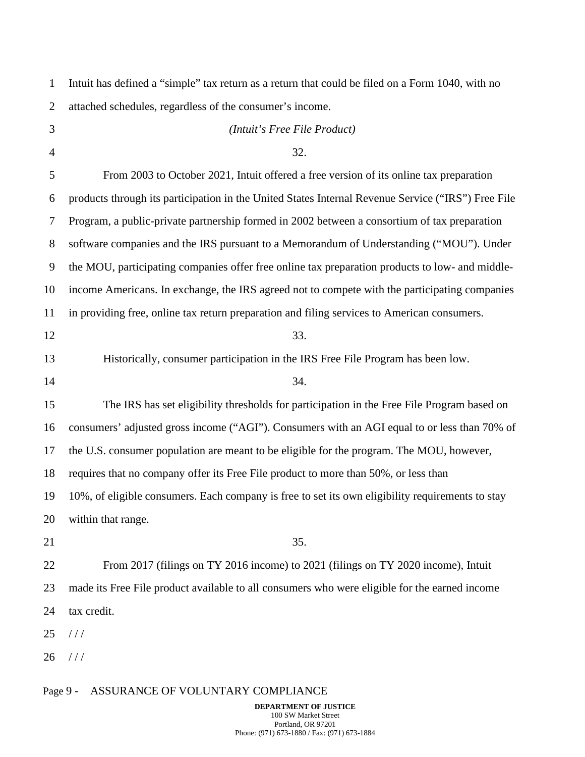| $\mathbf{1}$   | Intuit has defined a "simple" tax return as a return that could be filed on a Form 1040, with no   |
|----------------|----------------------------------------------------------------------------------------------------|
| $\overline{2}$ | attached schedules, regardless of the consumer's income.                                           |
| 3              | (Intuit's Free File Product)                                                                       |
| $\overline{4}$ | 32.                                                                                                |
| 5              | From 2003 to October 2021, Intuit offered a free version of its online tax preparation             |
| 6              | products through its participation in the United States Internal Revenue Service ("IRS") Free File |
| 7              | Program, a public-private partnership formed in 2002 between a consortium of tax preparation       |
| 8              | software companies and the IRS pursuant to a Memorandum of Understanding ("MOU"). Under            |
| 9              | the MOU, participating companies offer free online tax preparation products to low- and middle-    |
| 10             | income Americans. In exchange, the IRS agreed not to compete with the participating companies      |
| 11             | in providing free, online tax return preparation and filing services to American consumers.        |
| 12             | 33.                                                                                                |
| 13             | Historically, consumer participation in the IRS Free File Program has been low.                    |
| 14             | 34.                                                                                                |
| 15             | The IRS has set eligibility thresholds for participation in the Free File Program based on         |
| 16             | consumers' adjusted gross income ("AGI"). Consumers with an AGI equal to or less than 70% of       |
| 17             | the U.S. consumer population are meant to be eligible for the program. The MOU, however,           |
| 18             | requires that no company offer its Free File product to more than 50%, or less than                |
| 19             | 10%, of eligible consumers. Each company is free to set its own eligibility requirements to stay   |
| 20             | within that range.                                                                                 |
| 21             | 35.                                                                                                |
| 22             | From 2017 (filings on TY 2016 income) to 2021 (filings on TY 2020 income), Intuit                  |
| 23             | made its Free File product available to all consumers who were eligible for the earned income      |
| 24             | tax credit.                                                                                        |
| 25             | //                                                                                                 |
| 26             | 111                                                                                                |
|                |                                                                                                    |

# Page 9 - ASSURANCE OF VOLUNTARY COMPLIANCE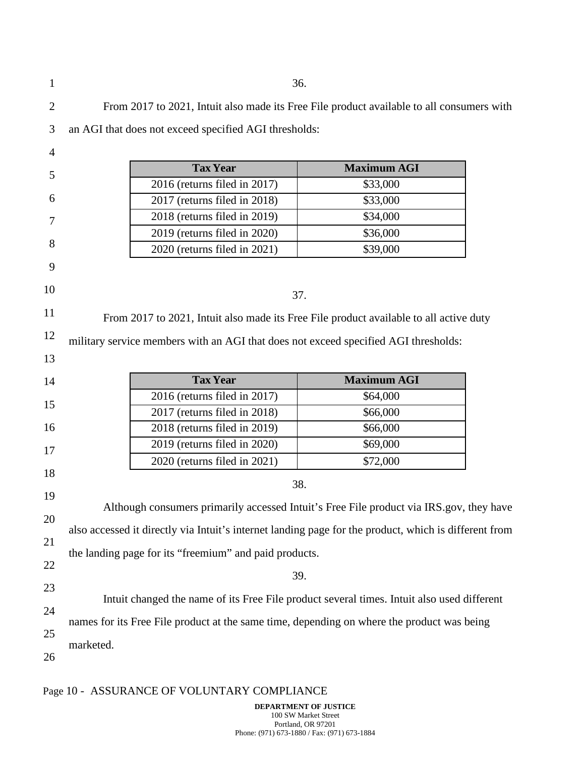| 1              |                                                                                            | 36.                                                                                 |                                                                                                       |  |
|----------------|--------------------------------------------------------------------------------------------|-------------------------------------------------------------------------------------|-------------------------------------------------------------------------------------------------------|--|
| $\overline{2}$ |                                                                                            |                                                                                     | From 2017 to 2021, Intuit also made its Free File product available to all consumers with             |  |
| 3              |                                                                                            | an AGI that does not exceed specified AGI thresholds:                               |                                                                                                       |  |
| 4              |                                                                                            |                                                                                     |                                                                                                       |  |
|                |                                                                                            | <b>Tax Year</b>                                                                     | <b>Maximum AGI</b>                                                                                    |  |
| 5              |                                                                                            | 2016 (returns filed in 2017)                                                        | \$33,000                                                                                              |  |
| 6              |                                                                                            | 2017 (returns filed in 2018)                                                        | \$33,000                                                                                              |  |
| 7              |                                                                                            | 2018 (returns filed in 2019)                                                        | \$34,000                                                                                              |  |
|                |                                                                                            | 2019 (returns filed in 2020)                                                        | \$36,000                                                                                              |  |
| 8              |                                                                                            | 2020 (returns filed in 2021)                                                        | \$39,000                                                                                              |  |
| 9              |                                                                                            |                                                                                     |                                                                                                       |  |
| 10             |                                                                                            | 37.                                                                                 |                                                                                                       |  |
| 11             |                                                                                            |                                                                                     | From 2017 to 2021, Intuit also made its Free File product available to all active duty                |  |
| 12             |                                                                                            |                                                                                     |                                                                                                       |  |
|                |                                                                                            | military service members with an AGI that does not exceed specified AGI thresholds: |                                                                                                       |  |
| 13             |                                                                                            |                                                                                     |                                                                                                       |  |
| 14             |                                                                                            | <b>Tax Year</b>                                                                     | <b>Maximum AGI</b>                                                                                    |  |
| 15             |                                                                                            | 2016 (returns filed in 2017)                                                        | \$64,000                                                                                              |  |
|                |                                                                                            | 2017 (returns filed in 2018)                                                        | \$66,000                                                                                              |  |
| 16             |                                                                                            | 2018 (returns filed in 2019)                                                        | \$66,000                                                                                              |  |
| 17             |                                                                                            | 2019 (returns filed in 2020)                                                        | \$69,000                                                                                              |  |
|                |                                                                                            | 2020 (returns filed in 2021)                                                        | \$72,000                                                                                              |  |
| 18             |                                                                                            | 38.                                                                                 |                                                                                                       |  |
| 19             |                                                                                            |                                                                                     |                                                                                                       |  |
| 20             |                                                                                            |                                                                                     | Although consumers primarily accessed Intuit's Free File product via IRS.gov, they have               |  |
|                |                                                                                            |                                                                                     | also accessed it directly via Intuit's internet landing page for the product, which is different from |  |
| 21             |                                                                                            | the landing page for its "freemium" and paid products.                              |                                                                                                       |  |
| 22             |                                                                                            |                                                                                     |                                                                                                       |  |
| 23             |                                                                                            | 39.                                                                                 |                                                                                                       |  |
|                | Intuit changed the name of its Free File product several times. Intuit also used different |                                                                                     |                                                                                                       |  |
| 24             | names for its Free File product at the same time, depending on where the product was being |                                                                                     |                                                                                                       |  |
|                |                                                                                            |                                                                                     |                                                                                                       |  |
| 25             | marketed.                                                                                  |                                                                                     |                                                                                                       |  |

# Page 10 - ASSURANCE OF VOLUNTARY COMPLIANCE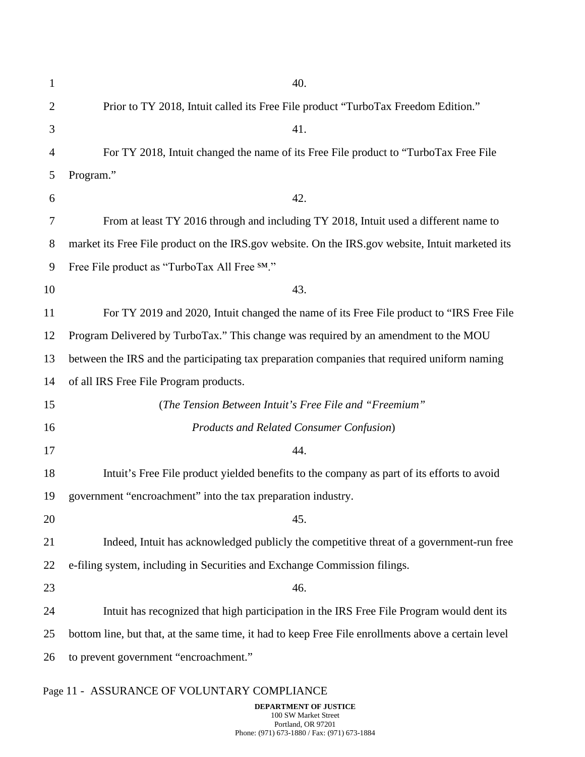| $\mathbf{1}$   | 40.                                                                                                 |
|----------------|-----------------------------------------------------------------------------------------------------|
| $\overline{2}$ | Prior to TY 2018, Intuit called its Free File product "TurboTax Freedom Edition."                   |
| 3              | 41.                                                                                                 |
| 4              | For TY 2018, Intuit changed the name of its Free File product to "TurboTax Free File                |
| 5              | Program."                                                                                           |
| 6              | 42.                                                                                                 |
| 7              | From at least TY 2016 through and including TY 2018, Intuit used a different name to                |
| 8              | market its Free File product on the IRS.gov website. On the IRS.gov website, Intuit marketed its    |
| 9              | Free File product as "TurboTax All Free SM."                                                        |
| 10             | 43.                                                                                                 |
| 11             | For TY 2019 and 2020, Intuit changed the name of its Free File product to "IRS Free File            |
| 12             | Program Delivered by TurboTax." This change was required by an amendment to the MOU                 |
| 13             | between the IRS and the participating tax preparation companies that required uniform naming        |
| 14             | of all IRS Free File Program products.                                                              |
| 15             | (The Tension Between Intuit's Free File and "Freemium"                                              |
| 16             | <b>Products and Related Consumer Confusion</b> )                                                    |
| 17             | 44.                                                                                                 |
| 18             | Intuit's Free File product yielded benefits to the company as part of its efforts to avoid          |
| 19             | government "encroachment" into the tax preparation industry.                                        |
| 20             | 45.                                                                                                 |
| 21             | Indeed, Intuit has acknowledged publicly the competitive threat of a government-run free            |
| 22             | e-filing system, including in Securities and Exchange Commission filings.                           |
| 23             | 46.                                                                                                 |
| 24             | Intuit has recognized that high participation in the IRS Free File Program would dent its           |
| 25             | bottom line, but that, at the same time, it had to keep Free File enrollments above a certain level |
| 26             | to prevent government "encroachment."                                                               |

# Page 11 - ASSURANCE OF VOLUNTARY COMPLIANCE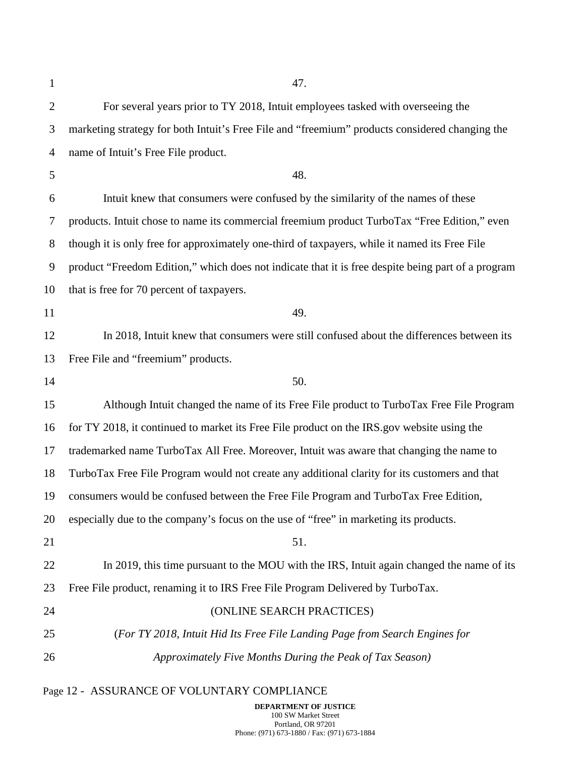| $\mathbf{1}$   | 47.                                                                                                |
|----------------|----------------------------------------------------------------------------------------------------|
| $\overline{2}$ | For several years prior to TY 2018, Intuit employees tasked with overseeing the                    |
| 3              | marketing strategy for both Intuit's Free File and "freemium" products considered changing the     |
| 4              | name of Intuit's Free File product.                                                                |
| 5              | 48.                                                                                                |
| 6              | Intuit knew that consumers were confused by the similarity of the names of these                   |
| 7              | products. Intuit chose to name its commercial freemium product TurboTax "Free Edition," even       |
| 8              | though it is only free for approximately one-third of taxpayers, while it named its Free File      |
| 9              | product "Freedom Edition," which does not indicate that it is free despite being part of a program |
| 10             | that is free for 70 percent of taxpayers.                                                          |
| 11             | 49.                                                                                                |
| 12             | In 2018, Intuit knew that consumers were still confused about the differences between its          |
| 13             | Free File and "freemium" products.                                                                 |
| 14             | 50.                                                                                                |
| 15             | Although Intuit changed the name of its Free File product to TurboTax Free File Program            |
| 16             | for TY 2018, it continued to market its Free File product on the IRS gov website using the         |
| 17             | trademarked name TurboTax All Free. Moreover, Intuit was aware that changing the name to           |
| 18             | TurboTax Free File Program would not create any additional clarity for its customers and that      |
| 19             | consumers would be confused between the Free File Program and TurboTax Free Edition,               |
| 20             | especially due to the company's focus on the use of "free" in marketing its products.              |
| 21             | 51.                                                                                                |
| 22             | In 2019, this time pursuant to the MOU with the IRS, Intuit again changed the name of its          |
| 23             | Free File product, renaming it to IRS Free File Program Delivered by TurboTax.                     |
| 24             | (ONLINE SEARCH PRACTICES)                                                                          |
| 25             | (For TY 2018, Intuit Hid Its Free File Landing Page from Search Engines for                        |
| 26             | Approximately Five Months During the Peak of Tax Season)                                           |
|                |                                                                                                    |

# Page 12 - ASSURANCE OF VOLUNTARY COMPLIANCE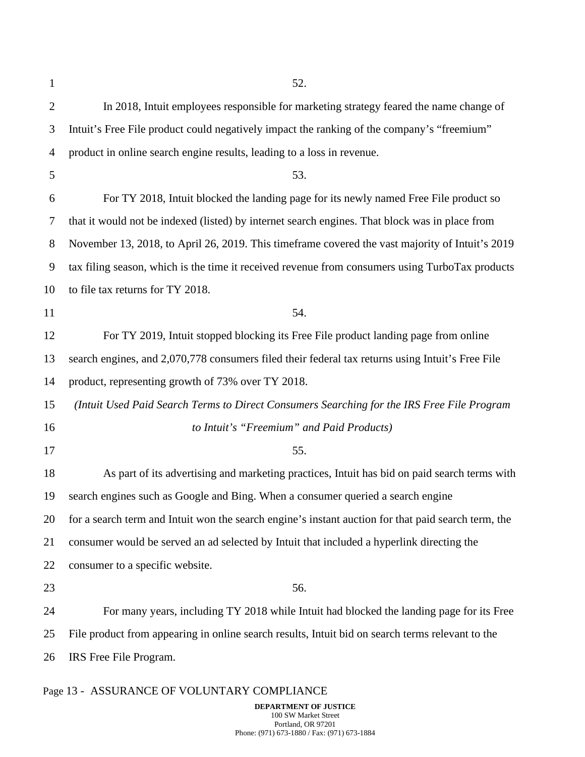| $\mathbf{1}$   | 52.                                                                                                 |
|----------------|-----------------------------------------------------------------------------------------------------|
| $\overline{2}$ | In 2018, Intuit employees responsible for marketing strategy feared the name change of              |
| 3              | Intuit's Free File product could negatively impact the ranking of the company's "freemium"          |
| $\overline{4}$ | product in online search engine results, leading to a loss in revenue.                              |
| 5              | 53.                                                                                                 |
| 6              | For TY 2018, Intuit blocked the landing page for its newly named Free File product so               |
| 7              | that it would not be indexed (listed) by internet search engines. That block was in place from      |
| 8              | November 13, 2018, to April 26, 2019. This timeframe covered the vast majority of Intuit's 2019     |
| 9              | tax filing season, which is the time it received revenue from consumers using TurboTax products     |
| 10             | to file tax returns for TY 2018.                                                                    |
| 11             | 54.                                                                                                 |
| 12             | For TY 2019, Intuit stopped blocking its Free File product landing page from online                 |
| 13             | search engines, and 2,070,778 consumers filed their federal tax returns using Intuit's Free File    |
| 14             | product, representing growth of 73% over TY 2018.                                                   |
| 15             | (Intuit Used Paid Search Terms to Direct Consumers Searching for the IRS Free File Program          |
| 16             | to Intuit's "Freemium" and Paid Products)                                                           |
| 17             | 55.                                                                                                 |
| 18             | As part of its advertising and marketing practices, Intuit has bid on paid search terms with        |
| 19             | search engines such as Google and Bing. When a consumer queried a search engine                     |
| 20             | for a search term and Intuit won the search engine's instant auction for that paid search term, the |
| 21             | consumer would be served an ad selected by Intuit that included a hyperlink directing the           |
| 22             | consumer to a specific website.                                                                     |
| 23             | 56.                                                                                                 |
| 24             | For many years, including TY 2018 while Intuit had blocked the landing page for its Free            |
| 25             | File product from appearing in online search results, Intuit bid on search terms relevant to the    |
| 26             | IRS Free File Program.                                                                              |
|                |                                                                                                     |

# Page 13 - ASSURANCE OF VOLUNTARY COMPLIANCE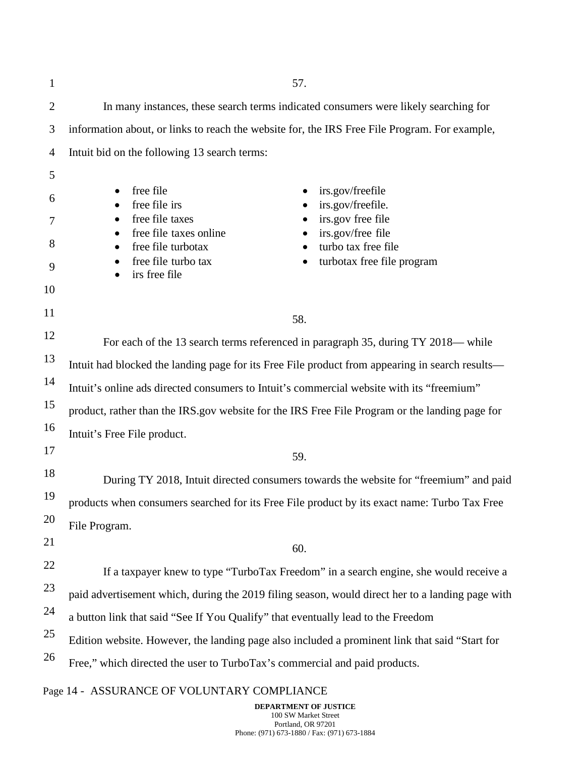| $\mathbf{1}$   | 57.                                                                                                   |  |
|----------------|-------------------------------------------------------------------------------------------------------|--|
| $\overline{2}$ | In many instances, these search terms indicated consumers were likely searching for                   |  |
| 3              | information about, or links to reach the website for, the IRS Free File Program. For example,         |  |
| $\overline{4}$ | Intuit bid on the following 13 search terms:                                                          |  |
| 5              |                                                                                                       |  |
| 6              | free file<br>irs.gov/freefile<br>$\bullet$<br>free file irs<br>irs.gov/freefile.                      |  |
| 7              | free file taxes<br>irs.gov free file                                                                  |  |
| 8              | irs.gov/free file<br>free file taxes online<br>turbo tax free file<br>free file turbotax<br>$\bullet$ |  |
| 9              | free file turbo tax<br>turbotax free file program<br>٠<br>irs free file                               |  |
| 10             |                                                                                                       |  |
| 11             | 58.                                                                                                   |  |
| 12             | For each of the 13 search terms referenced in paragraph 35, during TY 2018— while                     |  |
| 13             | Intuit had blocked the landing page for its Free File product from appearing in search results-       |  |
| 14             | Intuit's online ads directed consumers to Intuit's commercial website with its "freemium"             |  |
| 15             | product, rather than the IRS gov website for the IRS Free File Program or the landing page for        |  |
| 16             | Intuit's Free File product.                                                                           |  |
| 17             | 59.                                                                                                   |  |
| 18             | During TY 2018, Intuit directed consumers towards the website for "freemium" and paid                 |  |
| 19             | products when consumers searched for its Free File product by its exact name: Turbo Tax Free          |  |
| 20             | File Program.                                                                                         |  |
| 21             | 60.                                                                                                   |  |
| 22             | If a taxpayer knew to type "TurboTax Freedom" in a search engine, she would receive a                 |  |
| 23             | paid advertisement which, during the 2019 filing season, would direct her to a landing page with      |  |
| 24             | a button link that said "See If You Qualify" that eventually lead to the Freedom                      |  |
| 25             | Edition website. However, the landing page also included a prominent link that said "Start for        |  |
| 26             | Free," which directed the user to TurboTax's commercial and paid products.                            |  |
|                |                                                                                                       |  |

# Page 14 - ASSURANCE OF VOLUNTARY COMPLIANCE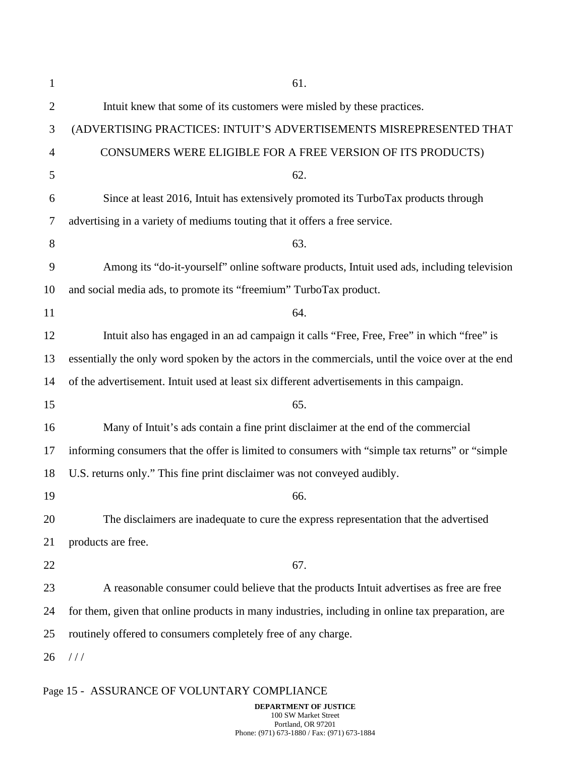| $\mathbf{1}$   | 61.                                                                                                |
|----------------|----------------------------------------------------------------------------------------------------|
| $\overline{2}$ | Intuit knew that some of its customers were misled by these practices.                             |
| 3              | (ADVERTISING PRACTICES: INTUIT'S ADVERTISEMENTS MISREPRESENTED THAT                                |
| 4              | CONSUMERS WERE ELIGIBLE FOR A FREE VERSION OF ITS PRODUCTS)                                        |
| 5              | 62.                                                                                                |
| 6              | Since at least 2016, Intuit has extensively promoted its TurboTax products through                 |
| 7              | advertising in a variety of mediums touting that it offers a free service.                         |
| 8              | 63.                                                                                                |
| 9              | Among its "do-it-yourself" online software products, Intuit used ads, including television         |
| 10             | and social media ads, to promote its "freemium" TurboTax product.                                  |
| 11             | 64.                                                                                                |
| 12             | Intuit also has engaged in an ad campaign it calls "Free, Free, Free" in which "free" is           |
| 13             | essentially the only word spoken by the actors in the commercials, until the voice over at the end |
| 14             | of the advertisement. Intuit used at least six different advertisements in this campaign.          |
| 15             | 65.                                                                                                |
| 16             | Many of Intuit's ads contain a fine print disclaimer at the end of the commercial                  |
| 17             | informing consumers that the offer is limited to consumers with "simple tax returns" or "simple    |
| 18             | U.S. returns only." This fine print disclaimer was not conveyed audibly.                           |
| 19             | 66.                                                                                                |
| 20             | The disclaimers are inadequate to cure the express representation that the advertised              |
| 21             | products are free.                                                                                 |
| 22             | 67.                                                                                                |
| 23             | A reasonable consumer could believe that the products Intuit advertises as free are free           |
| 24             | for them, given that online products in many industries, including in online tax preparation, are  |
| 25             | routinely offered to consumers completely free of any charge.                                      |
| 26             | //                                                                                                 |

# Page 15 - ASSURANCE OF VOLUNTARY COMPLIANCE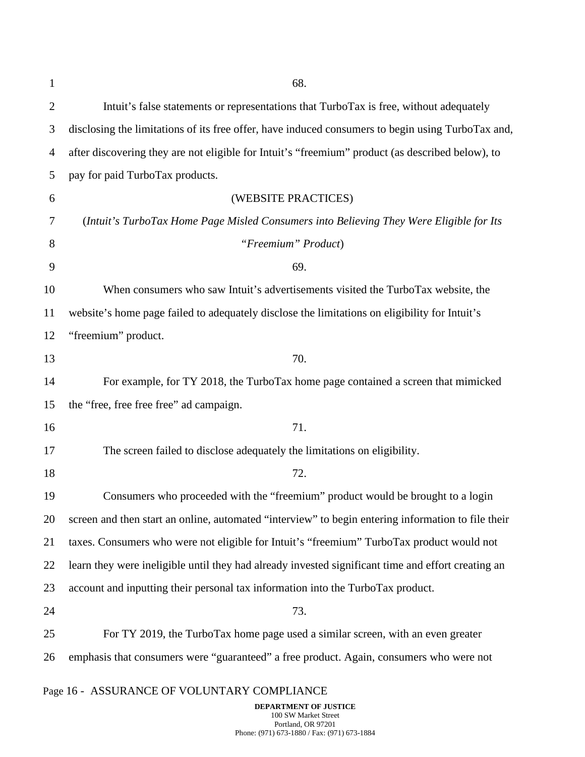| 1              | 68.                                                                                                |
|----------------|----------------------------------------------------------------------------------------------------|
| $\overline{2}$ | Intuit's false statements or representations that TurboTax is free, without adequately             |
| 3              | disclosing the limitations of its free offer, have induced consumers to begin using TurboTax and,  |
| $\overline{4}$ | after discovering they are not eligible for Intuit's "freemium" product (as described below), to   |
| 5              | pay for paid TurboTax products.                                                                    |
| 6              | (WEBSITE PRACTICES)                                                                                |
| 7              | (Intuit's TurboTax Home Page Misled Consumers into Believing They Were Eligible for Its            |
| 8              | "Freemium" Product)                                                                                |
| 9              | 69.                                                                                                |
| 10             | When consumers who saw Intuit's advertisements visited the TurboTax website, the                   |
| 11             | website's home page failed to adequately disclose the limitations on eligibility for Intuit's      |
| 12             | "freemium" product.                                                                                |
| 13             | 70.                                                                                                |
| 14             | For example, for TY 2018, the TurboTax home page contained a screen that mimicked                  |
| 15             | the "free, free free free" ad campaign.                                                            |
| 16             | 71.                                                                                                |
| 17             | The screen failed to disclose adequately the limitations on eligibility.                           |
| 18             | 72.                                                                                                |
| 19             | Consumers who proceeded with the "freemium" product would be brought to a login                    |
| 20             | screen and then start an online, automated "interview" to begin entering information to file their |
| 21             | taxes. Consumers who were not eligible for Intuit's "freemium" TurboTax product would not          |
| 22             | learn they were ineligible until they had already invested significant time and effort creating an |
| 23             | account and inputting their personal tax information into the TurboTax product.                    |
| 24             | 73.                                                                                                |
| 25             | For TY 2019, the TurboTax home page used a similar screen, with an even greater                    |
| 26             | emphasis that consumers were "guaranteed" a free product. Again, consumers who were not            |
|                | Page 16 - ASSURANCE OF VOLUNTARY COMPLIANCE                                                        |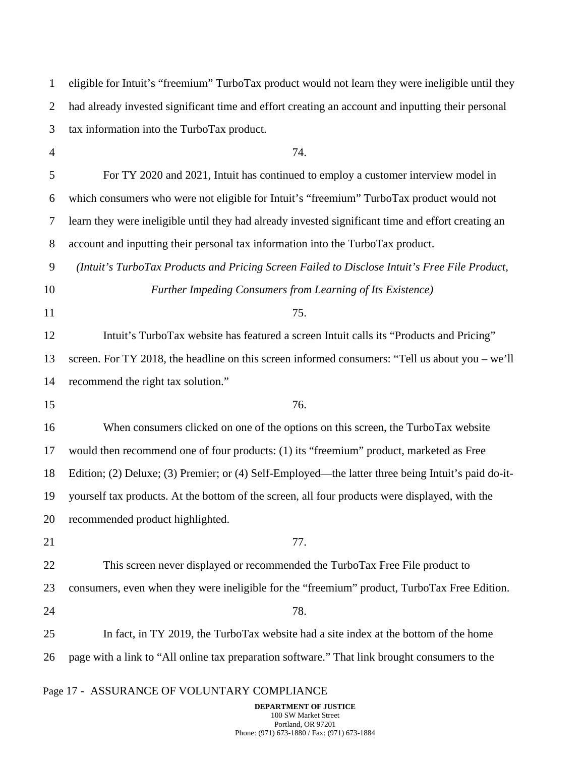| $\mathbf{1}$   | eligible for Intuit's "freemium" TurboTax product would not learn they were ineligible until they  |
|----------------|----------------------------------------------------------------------------------------------------|
| $\overline{2}$ | had already invested significant time and effort creating an account and inputting their personal  |
| 3              | tax information into the TurboTax product.                                                         |
| $\overline{4}$ | 74.                                                                                                |
| 5              | For TY 2020 and 2021, Intuit has continued to employ a customer interview model in                 |
| 6              | which consumers who were not eligible for Intuit's "freemium" TurboTax product would not           |
| 7              | learn they were ineligible until they had already invested significant time and effort creating an |
| $8\,$          | account and inputting their personal tax information into the TurboTax product.                    |
| 9              | (Intuit's TurboTax Products and Pricing Screen Failed to Disclose Intuit's Free File Product,      |
| 10             | Further Impeding Consumers from Learning of Its Existence)                                         |
| 11             | 75.                                                                                                |
| 12             | Intuit's TurboTax website has featured a screen Intuit calls its "Products and Pricing"            |
| 13             | screen. For TY 2018, the headline on this screen informed consumers: "Tell us about you $-$ we'll  |
| 14             | recommend the right tax solution."                                                                 |
| 15             | 76.                                                                                                |
| 16             | When consumers clicked on one of the options on this screen, the TurboTax website                  |
| 17             | would then recommend one of four products: (1) its "freemium" product, marketed as Free            |
| 18             | Edition; (2) Deluxe; (3) Premier; or (4) Self-Employed—the latter three being Intuit's paid do-it- |
| 19             | yourself tax products. At the bottom of the screen, all four products were displayed, with the     |
| 20             | recommended product highlighted.                                                                   |
| 21             | 77.                                                                                                |
| 22             | This screen never displayed or recommended the TurboTax Free File product to                       |
| 23             | consumers, even when they were ineligible for the "freemium" product, TurboTax Free Edition.       |
| 24             | 78.                                                                                                |
| 25             | In fact, in TY 2019, the TurboTax website had a site index at the bottom of the home               |
| 26             | page with a link to "All online tax preparation software." That link brought consumers to the      |
|                | Page 17 - ASSURANCE OF VOLUNTARY COMPLIANCE                                                        |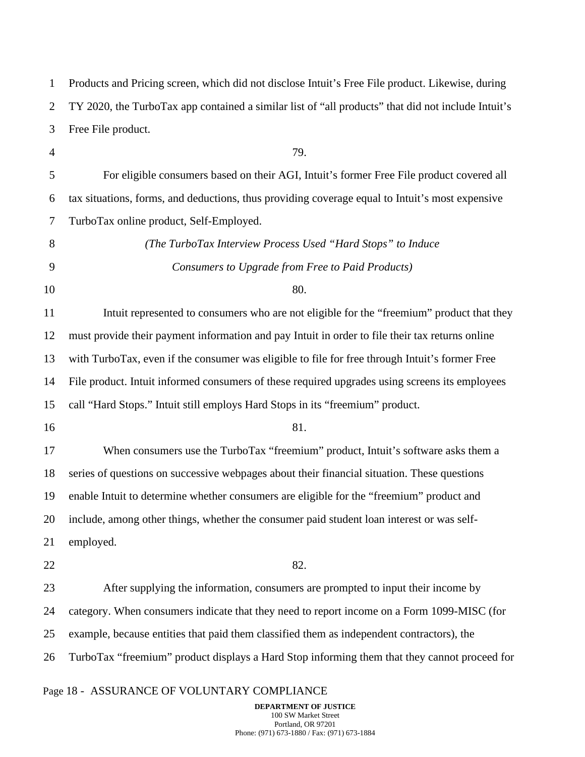| $\mathbf{1}$   | Products and Pricing screen, which did not disclose Intuit's Free File product. Likewise, during   |
|----------------|----------------------------------------------------------------------------------------------------|
| $\overline{2}$ | TY 2020, the TurboTax app contained a similar list of "all products" that did not include Intuit's |
| 3              | Free File product.                                                                                 |
| $\overline{4}$ | 79.                                                                                                |
| 5              | For eligible consumers based on their AGI, Intuit's former Free File product covered all           |
| 6              | tax situations, forms, and deductions, thus providing coverage equal to Intuit's most expensive    |
| 7              | TurboTax online product, Self-Employed.                                                            |
| 8              | (The TurboTax Interview Process Used "Hard Stops" to Induce                                        |
| 9              | Consumers to Upgrade from Free to Paid Products)                                                   |
| 10             | 80.                                                                                                |
| 11             | Intuit represented to consumers who are not eligible for the "freemium" product that they          |
| 12             | must provide their payment information and pay Intuit in order to file their tax returns online    |
| 13             | with TurboTax, even if the consumer was eligible to file for free through Intuit's former Free     |
| 14             | File product. Intuit informed consumers of these required upgrades using screens its employees     |
| 15             | call "Hard Stops." Intuit still employs Hard Stops in its "freemium" product.                      |
| 16             | 81.                                                                                                |
| 17             | When consumers use the TurboTax "freemium" product, Intuit's software asks them a                  |
| 18             | series of questions on successive webpages about their financial situation. These questions        |
| 19             | enable Intuit to determine whether consumers are eligible for the "freemium" product and           |
| 20             | include, among other things, whether the consumer paid student loan interest or was self-          |
| 21             | employed.                                                                                          |
| 22             | 82.                                                                                                |
| 23             | After supplying the information, consumers are prompted to input their income by                   |
| 24             | category. When consumers indicate that they need to report income on a Form 1099-MISC (for         |
| 25             | example, because entities that paid them classified them as independent contractors), the          |
| 26             | TurboTax "freemium" product displays a Hard Stop informing them that they cannot proceed for       |
|                |                                                                                                    |

# Page 18 - ASSURANCE OF VOLUNTARY COMPLIANCE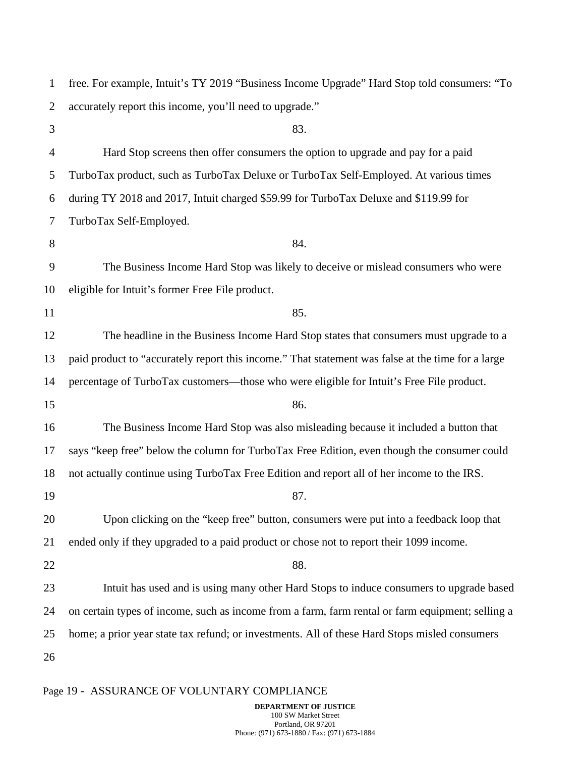| $\mathbf{1}$   | free. For example, Intuit's TY 2019 "Business Income Upgrade" Hard Stop told consumers: "To       |
|----------------|---------------------------------------------------------------------------------------------------|
| $\overline{2}$ | accurately report this income, you'll need to upgrade."                                           |
| 3              | 83.                                                                                               |
| $\overline{4}$ | Hard Stop screens then offer consumers the option to upgrade and pay for a paid                   |
| 5              | TurboTax product, such as TurboTax Deluxe or TurboTax Self-Employed. At various times             |
| 6              | during TY 2018 and 2017, Intuit charged \$59.99 for TurboTax Deluxe and \$119.99 for              |
| 7              | TurboTax Self-Employed.                                                                           |
| 8              | 84.                                                                                               |
| 9              | The Business Income Hard Stop was likely to deceive or mislead consumers who were                 |
| 10             | eligible for Intuit's former Free File product.                                                   |
| 11             | 85.                                                                                               |
| 12             | The headline in the Business Income Hard Stop states that consumers must upgrade to a             |
| 13             | paid product to "accurately report this income." That statement was false at the time for a large |
| 14             | percentage of TurboTax customers—those who were eligible for Intuit's Free File product.          |
| 15             | 86.                                                                                               |
| 16             | The Business Income Hard Stop was also misleading because it included a button that               |
| 17             | says "keep free" below the column for TurboTax Free Edition, even though the consumer could       |
| 18             | not actually continue using TurboTax Free Edition and report all of her income to the IRS.        |
| 19             | 87.                                                                                               |
| 20             | Upon clicking on the "keep free" button, consumers were put into a feedback loop that             |
| 21             | ended only if they upgraded to a paid product or chose not to report their 1099 income.           |
| 22             | 88.                                                                                               |
| 23             | Intuit has used and is using many other Hard Stops to induce consumers to upgrade based           |
| 24             | on certain types of income, such as income from a farm, farm rental or farm equipment; selling a  |
| 25             | home; a prior year state tax refund; or investments. All of these Hard Stops misled consumers     |
| 26             |                                                                                                   |
|                |                                                                                                   |

# Page 19 - ASSURANCE OF VOLUNTARY COMPLIANCE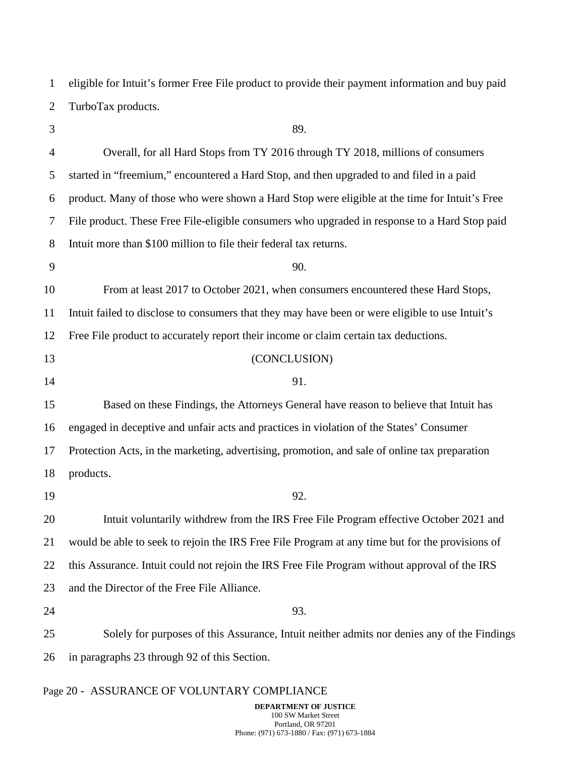1 2 eligible for Intuit's former Free File product to provide their payment information and buy paid TurboTax products.

3 4 5 6 7 8 9 10 11 12 13 14 15 16 17 18 19 20 21 22 23 24 25 26 89. Overall, for all Hard Stops from TY 2016 through TY 2018, millions of consumers started in "freemium," encountered a Hard Stop, and then upgraded to and filed in a paid product. Many of those who were shown a Hard Stop were eligible at the time for Intuit's Free File product. These Free File-eligible consumers who upgraded in response to a Hard Stop paid Intuit more than \$100 million to file their federal tax returns. 90. From at least 2017 to October 2021, when consumers encountered these Hard Stops, Intuit failed to disclose to consumers that they may have been or were eligible to use Intuit's Free File product to accurately report their income or claim certain tax deductions. (CONCLUSION) 91. Based on these Findings, the Attorneys General have reason to believe that Intuit has engaged in deceptive and unfair acts and practices in violation of the States' Consumer Protection Acts, in the marketing, advertising, promotion, and sale of online tax preparation products. 92. Intuit voluntarily withdrew from the IRS Free File Program effective October 2021 and would be able to seek to rejoin the IRS Free File Program at any time but for the provisions of this Assurance. Intuit could not rejoin the IRS Free File Program without approval of the IRS and the Director of the Free File Alliance. 93. Solely for purposes of this Assurance, Intuit neither admits nor denies any of the Findings in paragraphs 23 through 92 of this Section.

### Page 20 - ASSURANCE OF VOLUNTARY COMPLIANCE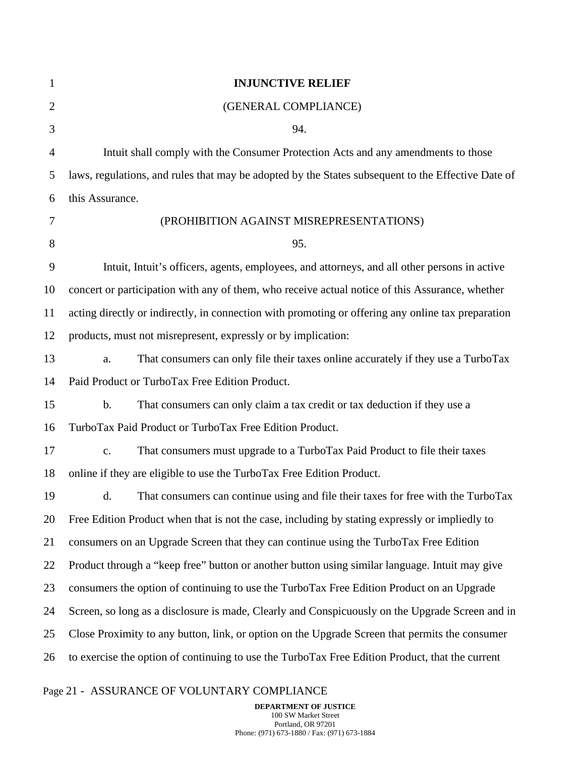| $\mathbf{1}$   | <b>INJUNCTIVE RELIEF</b>                                                                           |
|----------------|----------------------------------------------------------------------------------------------------|
| $\overline{2}$ | (GENERAL COMPLIANCE)                                                                               |
| 3              | 94.                                                                                                |
| $\overline{4}$ | Intuit shall comply with the Consumer Protection Acts and any amendments to those                  |
| 5              | laws, regulations, and rules that may be adopted by the States subsequent to the Effective Date of |
| 6              | this Assurance.                                                                                    |
| 7              | (PROHIBITION AGAINST MISREPRESENTATIONS)                                                           |
| 8              | 95.                                                                                                |
| 9              | Intuit, Intuit's officers, agents, employees, and attorneys, and all other persons in active       |
| 10             | concert or participation with any of them, who receive actual notice of this Assurance, whether    |
| 11             | acting directly or indirectly, in connection with promoting or offering any online tax preparation |
| 12             | products, must not misrepresent, expressly or by implication:                                      |
| 13             | That consumers can only file their taxes online accurately if they use a TurboTax<br>a.            |
| 14             | Paid Product or TurboTax Free Edition Product.                                                     |
| 15             | That consumers can only claim a tax credit or tax deduction if they use a<br>$\mathbf b$ .         |
| 16             | TurboTax Paid Product or TurboTax Free Edition Product.                                            |
| 17             | That consumers must upgrade to a TurboTax Paid Product to file their taxes<br>$\mathbf{c}$ .       |
| 18             | online if they are eligible to use the TurboTax Free Edition Product.                              |
| 19             | That consumers can continue using and file their taxes for free with the TurboTax<br>d.            |
| 20             | Free Edition Product when that is not the case, including by stating expressly or impliedly to     |
| 21             | consumers on an Upgrade Screen that they can continue using the TurboTax Free Edition              |
| 22             | Product through a "keep free" button or another button using similar language. Intuit may give     |
| 23             | consumers the option of continuing to use the TurboTax Free Edition Product on an Upgrade          |
| 24             | Screen, so long as a disclosure is made, Clearly and Conspicuously on the Upgrade Screen and in    |
| 25             | Close Proximity to any button, link, or option on the Upgrade Screen that permits the consumer     |
| 26             | to exercise the option of continuing to use the TurboTax Free Edition Product, that the current    |
|                |                                                                                                    |

# Page 21 - ASSURANCE OF VOLUNTARY COMPLIANCE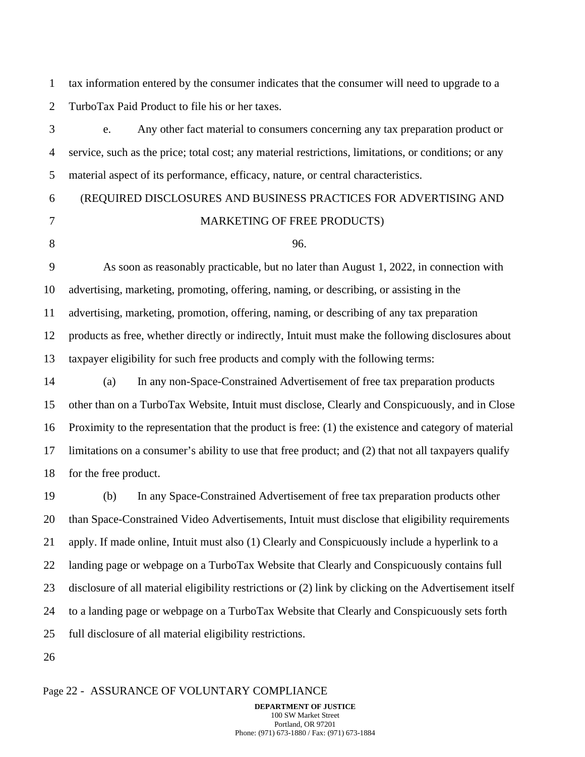1 2 tax information entered by the consumer indicates that the consumer will need to upgrade to a TurboTax Paid Product to file his or her taxes.

3 4 5 e. Any other fact material to consumers concerning any tax preparation product or service, such as the price; total cost; any material restrictions, limitations, or conditions; or any material aspect of its performance, efficacy, nature, or central characteristics.

#### 6 7 8 (REQUIRED DISCLOSURES AND BUSINESS PRACTICES FOR ADVERTISING AND MARKETING OF FREE PRODUCTS) 96.

9 10 11 12 13 As soon as reasonably practicable, but no later than August 1, 2022, in connection with advertising, marketing, promoting, offering, naming, or describing, or assisting in the advertising, marketing, promotion, offering, naming, or describing of any tax preparation products as free, whether directly or indirectly, Intuit must make the following disclosures about taxpayer eligibility for such free products and comply with the following terms:

14 15 16 17 18 (a) In any non-Space-Constrained Advertisement of free tax preparation products other than on a TurboTax Website, Intuit must disclose, Clearly and Conspicuously, and in Close Proximity to the representation that the product is free: (1) the existence and category of material limitations on a consumer's ability to use that free product; and (2) that not all taxpayers qualify for the free product.

19 20 21 22 23 24 25 (b) In any Space-Constrained Advertisement of free tax preparation products other than Space-Constrained Video Advertisements, Intuit must disclose that eligibility requirements apply. If made online, Intuit must also (1) Clearly and Conspicuously include a hyperlink to a landing page or webpage on a TurboTax Website that Clearly and Conspicuously contains full disclosure of all material eligibility restrictions or (2) link by clicking on the Advertisement itself to a landing page or webpage on a TurboTax Website that Clearly and Conspicuously sets forth full disclosure of all material eligibility restrictions.

26

#### Page 22 - ASSURANCE OF VOLUNTARY COMPLIANCE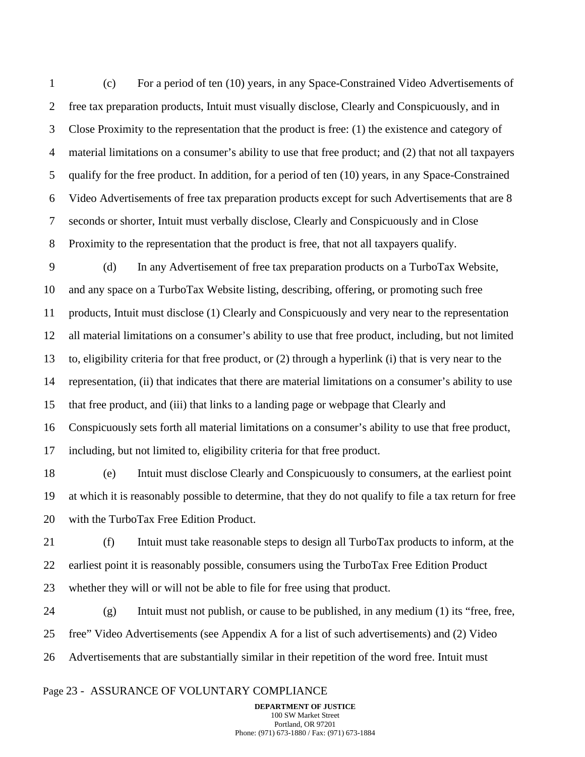1 2 3 4 5 6 7 8 (c) For a period of ten (10) years, in any Space-Constrained Video Advertisements of free tax preparation products, Intuit must visually disclose, Clearly and Conspicuously, and in Close Proximity to the representation that the product is free: (1) the existence and category of material limitations on a consumer's ability to use that free product; and (2) that not all taxpayers qualify for the free product. In addition, for a period of ten (10) years, in any Space-Constrained Video Advertisements of free tax preparation products except for such Advertisements that are 8 seconds or shorter, Intuit must verbally disclose, Clearly and Conspicuously and in Close Proximity to the representation that the product is free, that not all taxpayers qualify.

9 10 11 12 13 14 15 16 17 (d) In any Advertisement of free tax preparation products on a TurboTax Website, and any space on a TurboTax Website listing, describing, offering, or promoting such free products, Intuit must disclose (1) Clearly and Conspicuously and very near to the representation all material limitations on a consumer's ability to use that free product, including, but not limited to, eligibility criteria for that free product, or (2) through a hyperlink (i) that is very near to the representation, (ii) that indicates that there are material limitations on a consumer's ability to use that free product, and (iii) that links to a landing page or webpage that Clearly and Conspicuously sets forth all material limitations on a consumer's ability to use that free product, including, but not limited to, eligibility criteria for that free product.

18 19 20 (e) Intuit must disclose Clearly and Conspicuously to consumers, at the earliest point at which it is reasonably possible to determine, that they do not qualify to file a tax return for free with the TurboTax Free Edition Product.

21 22 23 (f) Intuit must take reasonable steps to design all TurboTax products to inform, at the earliest point it is reasonably possible, consumers using the TurboTax Free Edition Product whether they will or will not be able to file for free using that product.

24 25 26  $(g)$  Intuit must not publish, or cause to be published, in any medium  $(1)$  its "free, free, free" Video Advertisements (see Appendix A for a list of such advertisements) and (2) Video Advertisements that are substantially similar in their repetition of the word free. Intuit must

#### Page 23 - ASSURANCE OF VOLUNTARY COMPLIANCE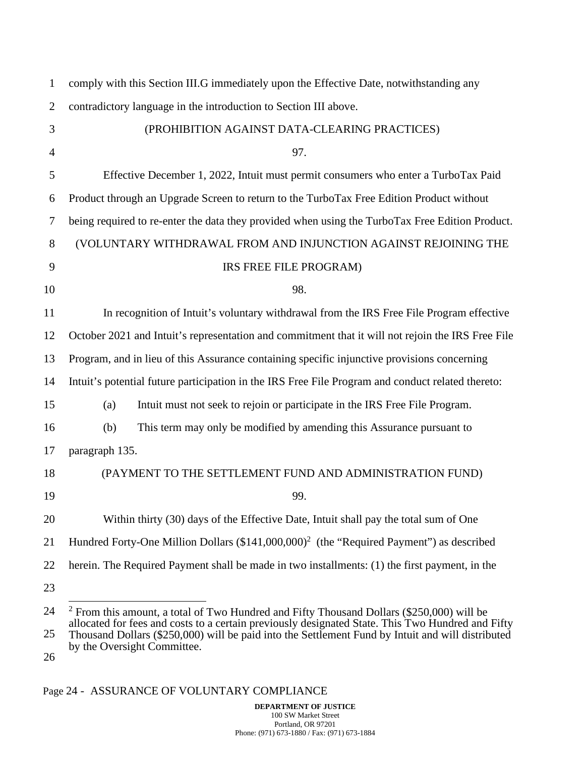| $\mathbf{1}$   | comply with this Section III.G immediately upon the Effective Date, notwithstanding any                                                                                                          |
|----------------|--------------------------------------------------------------------------------------------------------------------------------------------------------------------------------------------------|
| $\overline{2}$ | contradictory language in the introduction to Section III above.                                                                                                                                 |
| 3              | (PROHIBITION AGAINST DATA-CLEARING PRACTICES)                                                                                                                                                    |
| $\overline{4}$ | 97.                                                                                                                                                                                              |
| 5              | Effective December 1, 2022, Intuit must permit consumers who enter a TurboTax Paid                                                                                                               |
| 6              | Product through an Upgrade Screen to return to the TurboTax Free Edition Product without                                                                                                         |
| 7              | being required to re-enter the data they provided when using the TurboTax Free Edition Product.                                                                                                  |
| 8              | (VOLUNTARY WITHDRAWAL FROM AND INJUNCTION AGAINST REJOINING THE                                                                                                                                  |
| 9              | IRS FREE FILE PROGRAM)                                                                                                                                                                           |
| 10             | 98.                                                                                                                                                                                              |
| 11             | In recognition of Intuit's voluntary withdrawal from the IRS Free File Program effective                                                                                                         |
| 12             | October 2021 and Intuit's representation and commitment that it will not rejoin the IRS Free File                                                                                                |
| 13             | Program, and in lieu of this Assurance containing specific injunctive provisions concerning                                                                                                      |
| 14             | Intuit's potential future participation in the IRS Free File Program and conduct related thereto:                                                                                                |
| 15             | Intuit must not seek to rejoin or participate in the IRS Free File Program.<br>(a)                                                                                                               |
| 16             | This term may only be modified by amending this Assurance pursuant to<br>(b)                                                                                                                     |
| 17             | paragraph 135.                                                                                                                                                                                   |
| 18             | (PAYMENT TO THE SETTLEMENT FUND AND ADMINISTRATION FUND)                                                                                                                                         |
| 19             | 99.                                                                                                                                                                                              |
| 20             | Within thirty (30) days of the Effective Date, Intuit shall pay the total sum of One                                                                                                             |
| 21             | Hundred Forty-One Million Dollars $(\$141,000,000)^2$ (the "Required Payment") as described                                                                                                      |
| 22             | herein. The Required Payment shall be made in two installments: (1) the first payment, in the                                                                                                    |
| 23             |                                                                                                                                                                                                  |
| 24             | $2$ From this amount, a total of Two Hundred and Fifty Thousand Dollars (\$250,000) will be<br>allocated for fees and costs to a certain previously designated State. This Two Hundred and Fifty |
| $\gamma$       | $\mu_0$ (c) $\sigma$ (e) $\Omega$ (e) $\mu$ (e) $\Omega$                                                                                                                                         |

25 Thousand Dollars (\$250,000) will be paid into the Settlement Fund by Intuit and will distributed by the Oversight Committee.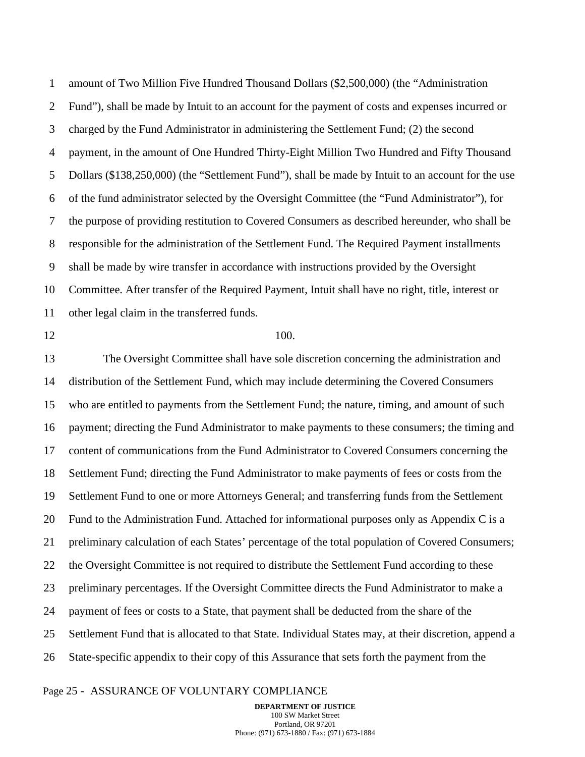1 2 3 4 5 6 7 8 9 10 11 amount of Two Million Five Hundred Thousand Dollars (\$2,500,000) (the "Administration Fund"), shall be made by Intuit to an account for the payment of costs and expenses incurred or charged by the Fund Administrator in administering the Settlement Fund; (2) the second payment, in the amount of One Hundred Thirty-Eight Million Two Hundred and Fifty Thousand Dollars (\$138,250,000) (the "Settlement Fund"), shall be made by Intuit to an account for the use of the fund administrator selected by the Oversight Committee (the "Fund Administrator"), for the purpose of providing restitution to Covered Consumers as described hereunder, who shall be responsible for the administration of the Settlement Fund. The Required Payment installments shall be made by wire transfer in accordance with instructions provided by the Oversight Committee. After transfer of the Required Payment, Intuit shall have no right, title, interest or other legal claim in the transferred funds.

12

#### 100.

13 14 15 16 17 18 19 20 21 22 23 24 25 26 The Oversight Committee shall have sole discretion concerning the administration and distribution of the Settlement Fund, which may include determining the Covered Consumers who are entitled to payments from the Settlement Fund; the nature, timing, and amount of such payment; directing the Fund Administrator to make payments to these consumers; the timing and content of communications from the Fund Administrator to Covered Consumers concerning the Settlement Fund; directing the Fund Administrator to make payments of fees or costs from the Settlement Fund to one or more Attorneys General; and transferring funds from the Settlement Fund to the Administration Fund. Attached for informational purposes only as Appendix C is a preliminary calculation of each States' percentage of the total population of Covered Consumers; the Oversight Committee is not required to distribute the Settlement Fund according to these preliminary percentages. If the Oversight Committee directs the Fund Administrator to make a payment of fees or costs to a State, that payment shall be deducted from the share of the Settlement Fund that is allocated to that State. Individual States may, at their discretion, append a State-specific appendix to their copy of this Assurance that sets forth the payment from the

#### Page 25 - ASSURANCE OF VOLUNTARY COMPLIANCE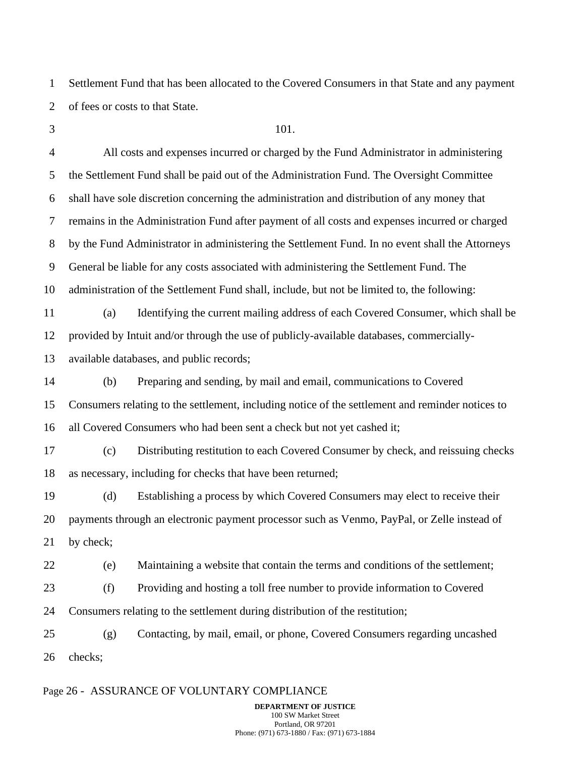1 2 Settlement Fund that has been allocated to the Covered Consumers in that State and any payment of fees or costs to that State.

3

#### 101.

4 5 6 7 8 9 10 11 12 All costs and expenses incurred or charged by the Fund Administrator in administering the Settlement Fund shall be paid out of the Administration Fund. The Oversight Committee shall have sole discretion concerning the administration and distribution of any money that remains in the Administration Fund after payment of all costs and expenses incurred or charged by the Fund Administrator in administering the Settlement Fund. In no event shall the Attorneys General be liable for any costs associated with administering the Settlement Fund. The administration of the Settlement Fund shall, include, but not be limited to, the following: (a) Identifying the current mailing address of each Covered Consumer, which shall be provided by Intuit and/or through the use of publicly-available databases, commercially-

13 available databases, and public records;

14 15 16 (b) Preparing and sending, by mail and email, communications to Covered Consumers relating to the settlement, including notice of the settlement and reminder notices to all Covered Consumers who had been sent a check but not yet cashed it;

17 18 (c) Distributing restitution to each Covered Consumer by check, and reissuing checks as necessary, including for checks that have been returned;

19 20 21 (d) Establishing a process by which Covered Consumers may elect to receive their payments through an electronic payment processor such as Venmo, PayPal, or Zelle instead of by check;

22 (e) Maintaining a website that contain the terms and conditions of the settlement;

23 24 (f) Providing and hosting a toll free number to provide information to Covered Consumers relating to the settlement during distribution of the restitution;

25 26 (g) Contacting, by mail, email, or phone, Covered Consumers regarding uncashed checks;

#### Page 26 - ASSURANCE OF VOLUNTARY COMPLIANCE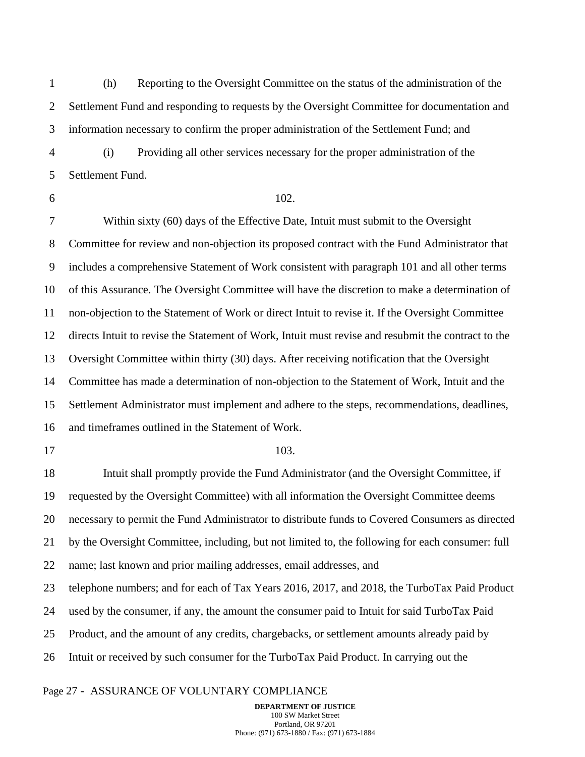1 2 3 (h) Reporting to the Oversight Committee on the status of the administration of the Settlement Fund and responding to requests by the Oversight Committee for documentation and information necessary to confirm the proper administration of the Settlement Fund; and

4 5 (i) Providing all other services necessary for the proper administration of the Settlement Fund.

6

### 102.

7 8 9 10 11 12 13 14 15 16 Within sixty (60) days of the Effective Date, Intuit must submit to the Oversight Committee for review and non-objection its proposed contract with the Fund Administrator that includes a comprehensive Statement of Work consistent with paragraph 101 and all other terms of this Assurance. The Oversight Committee will have the discretion to make a determination of non-objection to the Statement of Work or direct Intuit to revise it. If the Oversight Committee directs Intuit to revise the Statement of Work, Intuit must revise and resubmit the contract to the Oversight Committee within thirty (30) days. After receiving notification that the Oversight Committee has made a determination of non-objection to the Statement of Work, Intuit and the Settlement Administrator must implement and adhere to the steps, recommendations, deadlines, and timeframes outlined in the Statement of Work.

17

#### 103.

18 19 20 21 22 23 24 25 26 Intuit shall promptly provide the Fund Administrator (and the Oversight Committee, if requested by the Oversight Committee) with all information the Oversight Committee deems necessary to permit the Fund Administrator to distribute funds to Covered Consumers as directed by the Oversight Committee, including, but not limited to, the following for each consumer: full name; last known and prior mailing addresses, email addresses, and telephone numbers; and for each of Tax Years 2016, 2017, and 2018, the TurboTax Paid Product used by the consumer, if any, the amount the consumer paid to Intuit for said TurboTax Paid Product, and the amount of any credits, chargebacks, or settlement amounts already paid by Intuit or received by such consumer for the TurboTax Paid Product. In carrying out the

#### Page 27 - ASSURANCE OF VOLUNTARY COMPLIANCE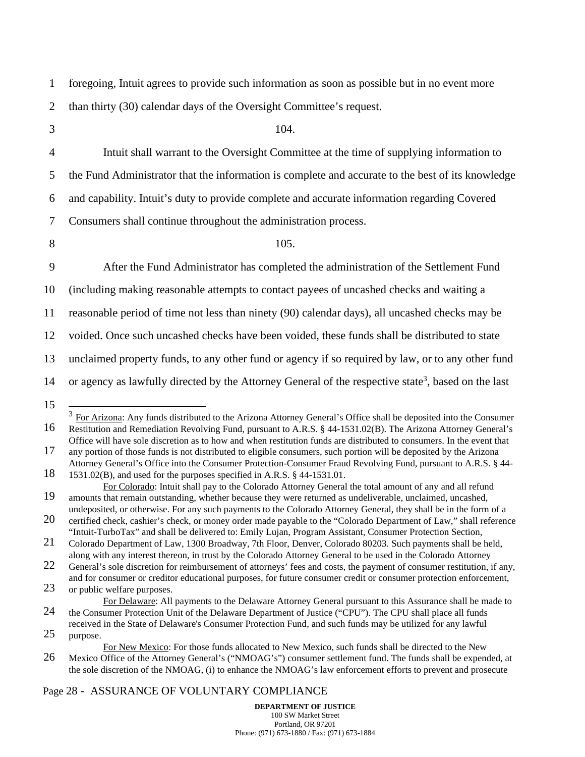1 2 foregoing, Intuit agrees to provide such information as soon as possible but in no event more than thirty (30) calendar days of the Oversight Committee's request.

3

4

104.

Intuit shall warrant to the Oversight Committee at the time of supplying information to

5 the Fund Administrator that the information is complete and accurate to the best of its knowledge

6 and capability. Intuit's duty to provide complete and accurate information regarding Covered

7 Consumers shall continue throughout the administration process.

8

105.

9 After the Fund Administrator has completed the administration of the Settlement Fund

10 (including making reasonable attempts to contact payees of uncashed checks and waiting a

11 reasonable period of time not less than ninety (90) calendar days), all uncashed checks may be

12 voided. Once such uncashed checks have been voided, these funds shall be distributed to state

13 unclaimed property funds, to any other fund or agency if so required by law, or to any other fund

14 or agency as lawfully directed by the Attorney General of the respective state<sup>3</sup>, based on the last

15

17 any portion of those funds is not distributed to eligible consumers, such portion will be deposited by the Arizona

### Page 28 - ASSURANCE OF VOLUNTARY COMPLIANCE

<sup>16</sup>  $3 \text{ For Arizona:}$  Any funds distributed to the Arizona Attorney General's Office shall be deposited into the Consumer Restitution and Remediation Revolving Fund, pursuant to A.R.S. § 44-1531.02(B). The Arizona Attorney General's Office will have sole discretion as to how and when restitution funds are distributed to consumers. In the event that

<sup>18</sup> Attorney General's Office into the Consumer Protection-Consumer Fraud Revolving Fund, pursuant to A.R.S. § 44- 1531.02(B), and used for the purposes specified in A.R.S. § 44-1531.01.

<sup>19</sup> For Colorado: Intuit shall pay to the Colorado Attorney General the total amount of any and all refund amounts that remain outstanding, whether because they were returned as undeliverable, unclaimed, uncashed, undeposited, or otherwise. For any such payments to the Colorado Attorney General, they shall be in the form of a

<sup>20</sup> certified check, cashier's check, or money order made payable to the "Colorado Department of Law," shall reference "Intuit-TurboTax" and shall be delivered to: Emily Lujan, Program Assistant, Consumer Protection Section,

<sup>21</sup> Colorado Department of Law, 1300 Broadway, 7th Floor, Denver, Colorado 80203. Such payments shall be held, along with any interest thereon, in trust by the Colorado Attorney General to be used in the Colorado Attorney

<sup>22</sup> General's sole discretion for reimbursement of attorneys' fees and costs, the payment of consumer restitution, if any, and for consumer or creditor educational purposes, for future consumer credit or consumer protection enforcement,

<sup>23</sup> or public welfare purposes.

<sup>24</sup> For Delaware: All payments to the Delaware Attorney General pursuant to this Assurance shall be made to the Consumer Protection Unit of the Delaware Department of Justice ("CPU"). The CPU shall place all funds

<sup>25</sup> received in the State of Delaware's Consumer Protection Fund, and such funds may be utilized for any lawful purpose.

<sup>26</sup> For New Mexico: For those funds allocated to New Mexico, such funds shall be directed to the New Mexico Office of the Attorney General's ("NMOAG's") consumer settlement fund. The funds shall be expended, at the sole discretion of the NMOAG, (i) to enhance the NMOAG's law enforcement efforts to prevent and prosecute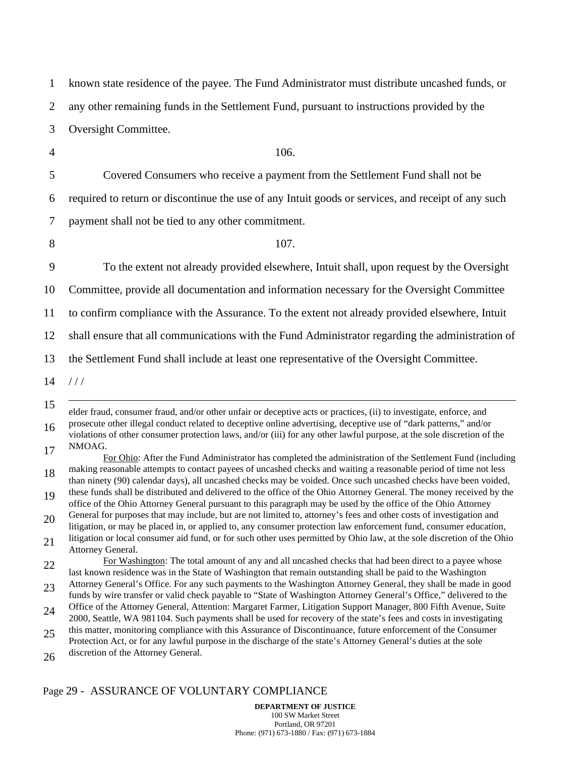| 1  | known state residence of the payee. The Fund Administrator must distribute uncashed funds, or                                                                                                                                               |
|----|---------------------------------------------------------------------------------------------------------------------------------------------------------------------------------------------------------------------------------------------|
| 2  | any other remaining funds in the Settlement Fund, pursuant to instructions provided by the                                                                                                                                                  |
| 3  | Oversight Committee.                                                                                                                                                                                                                        |
| 4  | 106.                                                                                                                                                                                                                                        |
| 5  | Covered Consumers who receive a payment from the Settlement Fund shall not be                                                                                                                                                               |
| 6  | required to return or discontinue the use of any Intuit goods or services, and receipt of any such                                                                                                                                          |
| 7  | payment shall not be tied to any other commitment.                                                                                                                                                                                          |
| 8  | 107.                                                                                                                                                                                                                                        |
| 9  | To the extent not already provided elsewhere, Intuit shall, upon request by the Oversight                                                                                                                                                   |
| 10 | Committee, provide all documentation and information necessary for the Oversight Committee                                                                                                                                                  |
| 11 | to confirm compliance with the Assurance. To the extent not already provided elsewhere, Intuit                                                                                                                                              |
| 12 | shall ensure that all communications with the Fund Administrator regarding the administration of                                                                                                                                            |
| 13 | the Settlement Fund shall include at least one representative of the Oversight Committee.                                                                                                                                                   |
| 14 | 111                                                                                                                                                                                                                                         |
| 15 | elder fraud, consumer fraud, and/or other unfair or deceptive acts or practices, (ii) to investigate, enforce, and                                                                                                                          |
| 16 | prosecute other illegal conduct related to deceptive online advertising, deceptive use of "dark patterns," and/or<br>violations of other consumer protection laws, and/or (iii) for any other lawful purpose, at the sole discretion of the |
| 17 | NMOAG.<br>For Ohio: After the Fund Administrator has completed the administration of the Settlement Fund (including                                                                                                                         |
| 18 | making reasonable attempts to contact payees of uncashed checks and waiting a reasonable period of time not less<br>than ninety (90) calendar days), all uncashed checks may be voided. Once such uncashed checks have been voided,         |
| 19 | these funds shall be distributed and delivered to the office of the Ohio Attorney General. The money received by the<br>office of the Ohio Attorney General pursuant to this paragraph may be used by the office of the Ohio Attorney       |
| 20 | General for purposes that may include, but are not limited to, attorney's fees and other costs of investigation and<br>litigation, or may be placed in, or applied to, any consumer protection law enforcement fund, consumer education,    |
| 21 | litigation or local consumer aid fund, or for such other uses permitted by Ohio law, at the sole discretion of the Ohio<br>Attorney General.                                                                                                |
| 22 | For Washington: The total amount of any and all uncashed checks that had been direct to a payee whose<br>last known residence was in the State of Washington that remain outstanding shall be paid to the Washington                        |
| 23 | Attorney General's Office. For any such payments to the Washington Attorney General, they shall be made in good<br>funds by wire transfer or valid check payable to "State of Washington Attorney General's Office," delivered to the       |
| 24 | Office of the Attorney General, Attention: Margaret Farmer, Litigation Support Manager, 800 Fifth Avenue, Suite<br>2000, Seattle, WA 981104. Such payments shall be used for recovery of the state's fees and costs in investigating        |
| 25 | this matter, monitoring compliance with this Assurance of Discontinuance, future enforcement of the Consumer<br>Protection Act, or for any lawful purpose in the discharge of the state's Attorney General's duties at the sole             |
| 26 | discretion of the Attorney General.                                                                                                                                                                                                         |

# Page 29 - ASSURANCE OF VOLUNTARY COMPLIANCE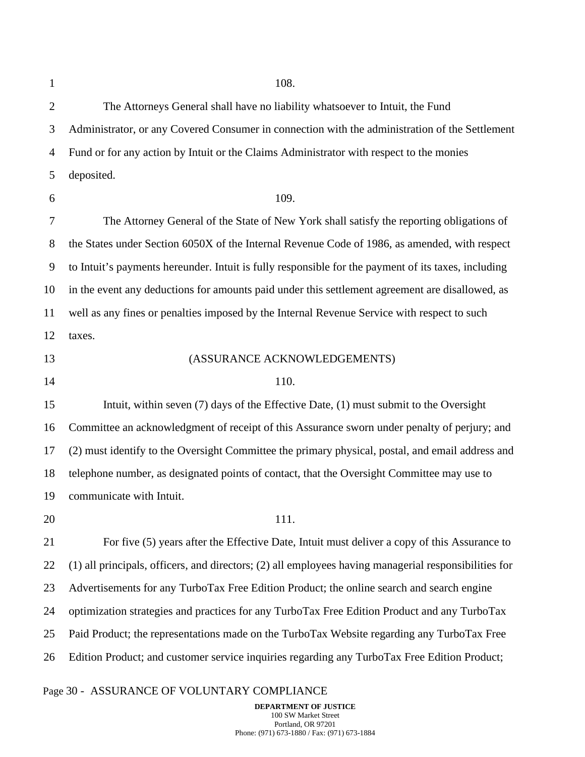1

9

11

2 3 4 5 6 7 8 10 12 13 14 15 16 17 18 19 20 21 22 23 24 25 26 108. The Attorneys General shall have no liability whatsoever to Intuit, the Fund Administrator, or any Covered Consumer in connection with the administration of the Settlement Fund or for any action by Intuit or the Claims Administrator with respect to the monies deposited. 109. The Attorney General of the State of New York shall satisfy the reporting obligations of the States under Section 6050X of the Internal Revenue Code of 1986, as amended, with respect to Intuit's payments hereunder. Intuit is fully responsible for the payment of its taxes, including in the event any deductions for amounts paid under this settlement agreement are disallowed, as well as any fines or penalties imposed by the Internal Revenue Service with respect to such taxes. (ASSURANCE ACKNOWLEDGEMENTS) 110. Intuit, within seven (7) days of the Effective Date, (1) must submit to the Oversight Committee an acknowledgment of receipt of this Assurance sworn under penalty of perjury; and (2) must identify to the Oversight Committee the primary physical, postal, and email address and telephone number, as designated points of contact, that the Oversight Committee may use to communicate with Intuit. 111. For five (5) years after the Effective Date, Intuit must deliver a copy of this Assurance to (1) all principals, officers, and directors; (2) all employees having managerial responsibilities for Advertisements for any TurboTax Free Edition Product; the online search and search engine optimization strategies and practices for any TurboTax Free Edition Product and any TurboTax Paid Product; the representations made on the TurboTax Website regarding any TurboTax Free Edition Product; and customer service inquiries regarding any TurboTax Free Edition Product;

#### Page 30 - ASSURANCE OF VOLUNTARY COMPLIANCE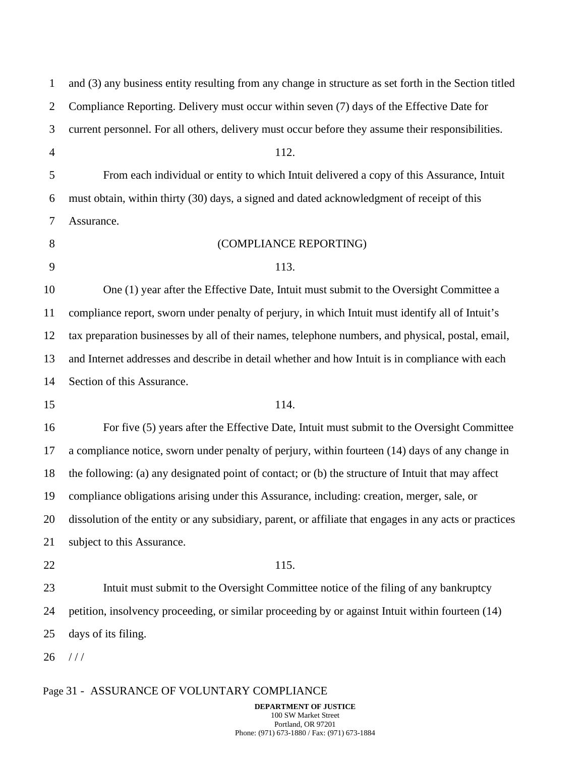| $\mathbf{1}$   | and (3) any business entity resulting from any change in structure as set forth in the Section titled   |
|----------------|---------------------------------------------------------------------------------------------------------|
| $\overline{2}$ | Compliance Reporting. Delivery must occur within seven (7) days of the Effective Date for               |
| 3              | current personnel. For all others, delivery must occur before they assume their responsibilities.       |
| $\overline{4}$ | 112.                                                                                                    |
| 5              | From each individual or entity to which Intuit delivered a copy of this Assurance, Intuit               |
| 6              | must obtain, within thirty (30) days, a signed and dated acknowledgment of receipt of this              |
| 7              | Assurance.                                                                                              |
| 8              | (COMPLIANCE REPORTING)                                                                                  |
| 9              | 113.                                                                                                    |
| 10             | One (1) year after the Effective Date, Intuit must submit to the Oversight Committee a                  |
| 11             | compliance report, sworn under penalty of perjury, in which Intuit must identify all of Intuit's        |
| 12             | tax preparation businesses by all of their names, telephone numbers, and physical, postal, email,       |
| 13             | and Internet addresses and describe in detail whether and how Intuit is in compliance with each         |
| 14             | Section of this Assurance.                                                                              |
| 15             | 114.                                                                                                    |
| 16             | For five (5) years after the Effective Date, Intuit must submit to the Oversight Committee              |
| 17             | a compliance notice, sworn under penalty of perjury, within fourteen (14) days of any change in         |
| 18             | the following: (a) any designated point of contact; or (b) the structure of Intuit that may affect      |
| 19             | compliance obligations arising under this Assurance, including: creation, merger, sale, or              |
| 20             | dissolution of the entity or any subsidiary, parent, or affiliate that engages in any acts or practices |
| 21             | subject to this Assurance.                                                                              |
| 22             | 115.                                                                                                    |
| 23             | Intuit must submit to the Oversight Committee notice of the filing of any bankruptcy                    |
| 24             | petition, insolvency proceeding, or similar proceeding by or against Intuit within fourteen (14)        |
| 25             | days of its filing.                                                                                     |
| 26             | 111                                                                                                     |
|                |                                                                                                         |

# Page 31 - ASSURANCE OF VOLUNTARY COMPLIANCE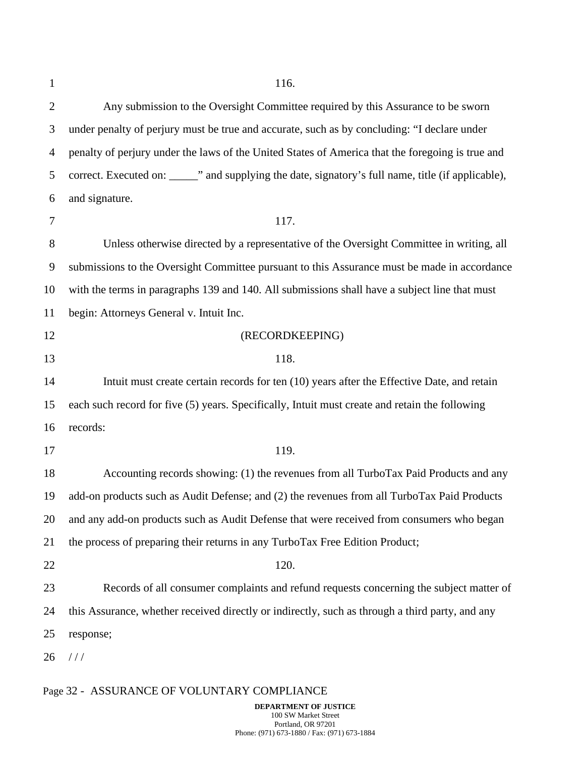| $\mathbf{1}$ | 116.                                                                                                 |
|--------------|------------------------------------------------------------------------------------------------------|
| 2            | Any submission to the Oversight Committee required by this Assurance to be sworn                     |
| 3            | under penalty of perjury must be true and accurate, such as by concluding: "I declare under          |
| 4            | penalty of perjury under the laws of the United States of America that the foregoing is true and     |
| 5            | correct. Executed on: _______" and supplying the date, signatory's full name, title (if applicable), |
| 6            | and signature.                                                                                       |
| 7            | 117.                                                                                                 |
| 8            | Unless otherwise directed by a representative of the Oversight Committee in writing, all             |
| 9            | submissions to the Oversight Committee pursuant to this Assurance must be made in accordance         |
| 10           | with the terms in paragraphs 139 and 140. All submissions shall have a subject line that must        |
| 11           | begin: Attorneys General v. Intuit Inc.                                                              |
| 12           | (RECORDKEEPING)                                                                                      |
| 13           | 118.                                                                                                 |
| 14           | Intuit must create certain records for ten (10) years after the Effective Date, and retain           |
| 15           | each such record for five (5) years. Specifically, Intuit must create and retain the following       |
| 16           | records:                                                                                             |
| 17           | 119.                                                                                                 |
| 18           | Accounting records showing: (1) the revenues from all TurboTax Paid Products and any                 |
| 19           | add-on products such as Audit Defense; and (2) the revenues from all TurboTax Paid Products          |
| 20           | and any add-on products such as Audit Defense that were received from consumers who began            |
| 21           | the process of preparing their returns in any TurboTax Free Edition Product;                         |
| 22           | 120.                                                                                                 |
| 23           | Records of all consumer complaints and refund requests concerning the subject matter of              |
| 24           | this Assurance, whether received directly or indirectly, such as through a third party, and any      |
| 25           | response;                                                                                            |
| 26           | 111                                                                                                  |
|              |                                                                                                      |

# Page 32 - ASSURANCE OF VOLUNTARY COMPLIANCE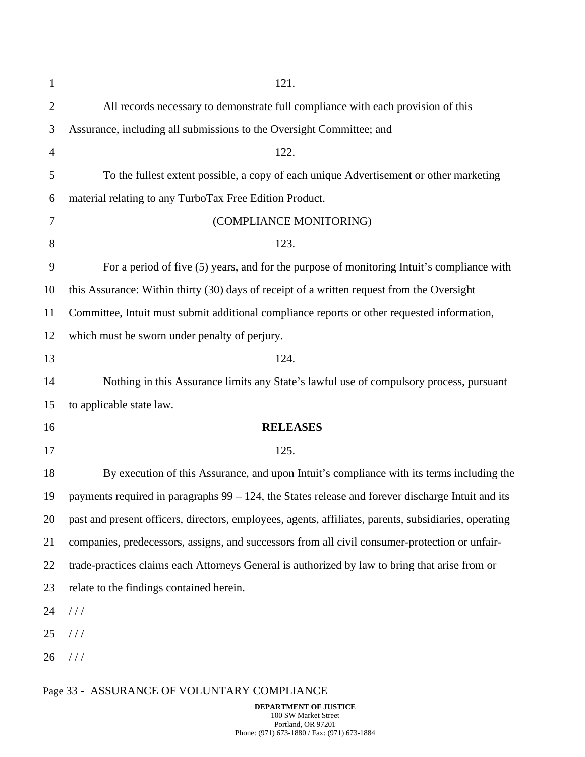| $\mathbf{1}$   | 121.                                                                                                  |
|----------------|-------------------------------------------------------------------------------------------------------|
| $\overline{c}$ | All records necessary to demonstrate full compliance with each provision of this                      |
| 3              | Assurance, including all submissions to the Oversight Committee; and                                  |
| 4              | 122.                                                                                                  |
| 5              | To the fullest extent possible, a copy of each unique Advertisement or other marketing                |
| 6              | material relating to any TurboTax Free Edition Product.                                               |
| 7              | (COMPLIANCE MONITORING)                                                                               |
| 8              | 123.                                                                                                  |
| 9              | For a period of five (5) years, and for the purpose of monitoring Intuit's compliance with            |
| 10             | this Assurance: Within thirty (30) days of receipt of a written request from the Oversight            |
| 11             | Committee, Intuit must submit additional compliance reports or other requested information,           |
| 12             | which must be sworn under penalty of perjury.                                                         |
| 13             | 124.                                                                                                  |
| 14             | Nothing in this Assurance limits any State's lawful use of compulsory process, pursuant               |
| 15             | to applicable state law.                                                                              |
| 16             | <b>RELEASES</b>                                                                                       |
| 17             | 125.                                                                                                  |
| 18             | By execution of this Assurance, and upon Intuit's compliance with its terms including the             |
| 19             | payments required in paragraphs $99 - 124$ , the States release and forever discharge Intuit and its  |
| 20             | past and present officers, directors, employees, agents, affiliates, parents, subsidiaries, operating |
| 21             | companies, predecessors, assigns, and successors from all civil consumer-protection or unfair-        |
| 22             | trade-practices claims each Attorneys General is authorized by law to bring that arise from or        |
| 23             | relate to the findings contained herein.                                                              |
| 24             | //                                                                                                    |
| 25             | //                                                                                                    |
| 26             | //                                                                                                    |
|                | Page 33 - ASSURANCE OF VOLUNTARY COMPLIANCE                                                           |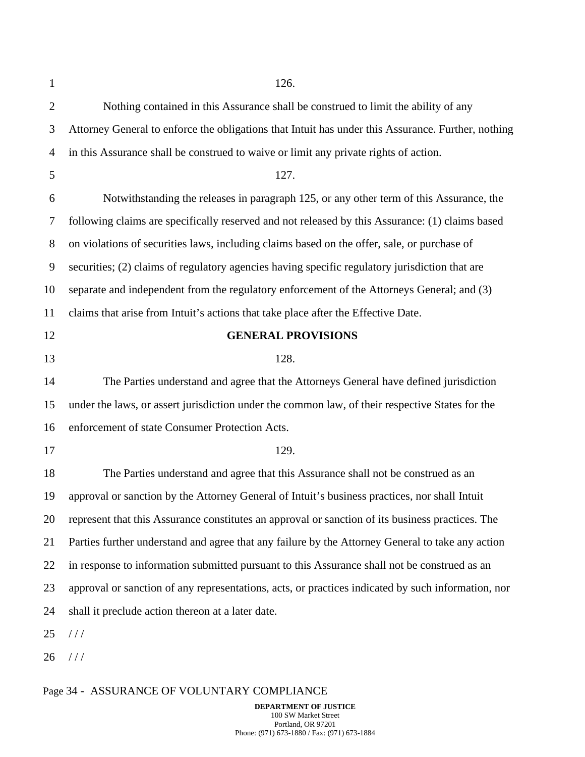| $\mathbf{1}$   | 126.                                                                                               |
|----------------|----------------------------------------------------------------------------------------------------|
| $\mathbf{2}$   | Nothing contained in this Assurance shall be construed to limit the ability of any                 |
| 3              | Attorney General to enforce the obligations that Intuit has under this Assurance. Further, nothing |
| $\overline{4}$ | in this Assurance shall be construed to waive or limit any private rights of action.               |
| 5              | 127.                                                                                               |
| 6              | Notwithstanding the releases in paragraph 125, or any other term of this Assurance, the            |
| 7              | following claims are specifically reserved and not released by this Assurance: (1) claims based    |
| 8              | on violations of securities laws, including claims based on the offer, sale, or purchase of        |
| 9              | securities; (2) claims of regulatory agencies having specific regulatory jurisdiction that are     |
| 10             | separate and independent from the regulatory enforcement of the Attorneys General; and (3)         |
| 11             | claims that arise from Intuit's actions that take place after the Effective Date.                  |
| 12             | <b>GENERAL PROVISIONS</b>                                                                          |
| 13             | 128.                                                                                               |
| 14             | The Parties understand and agree that the Attorneys General have defined jurisdiction              |
| 15             | under the laws, or assert jurisdiction under the common law, of their respective States for the    |
| 16             | enforcement of state Consumer Protection Acts.                                                     |
| 17             | 129.                                                                                               |
| 18             | The Parties understand and agree that this Assurance shall not be construed as an                  |
| 19             | approval or sanction by the Attorney General of Intuit's business practices, nor shall Intuit      |
| 20             | represent that this Assurance constitutes an approval or sanction of its business practices. The   |
| 21             | Parties further understand and agree that any failure by the Attorney General to take any action   |
| 22             | in response to information submitted pursuant to this Assurance shall not be construed as an       |
| 23             | approval or sanction of any representations, acts, or practices indicated by such information, nor |
| 24             | shall it preclude action thereon at a later date.                                                  |
| 25             | //                                                                                                 |
| 26             | 111                                                                                                |
|                |                                                                                                    |

# Page 34 - ASSURANCE OF VOLUNTARY COMPLIANCE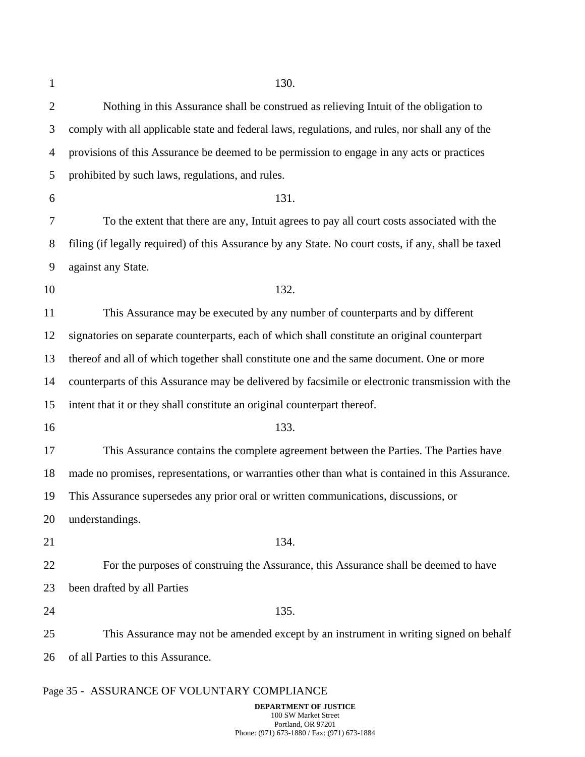| $\mathbf{1}$   | 130.                                                                                                |
|----------------|-----------------------------------------------------------------------------------------------------|
| $\overline{2}$ | Nothing in this Assurance shall be construed as relieving Intuit of the obligation to               |
| 3              | comply with all applicable state and federal laws, regulations, and rules, nor shall any of the     |
| 4              | provisions of this Assurance be deemed to be permission to engage in any acts or practices          |
| 5              | prohibited by such laws, regulations, and rules.                                                    |
| 6              | 131.                                                                                                |
| 7              | To the extent that there are any, Intuit agrees to pay all court costs associated with the          |
| 8              | filing (if legally required) of this Assurance by any State. No court costs, if any, shall be taxed |
| 9              | against any State.                                                                                  |
| 10             | 132.                                                                                                |
| 11             | This Assurance may be executed by any number of counterparts and by different                       |
| 12             | signatories on separate counterparts, each of which shall constitute an original counterpart        |
| 13             | thereof and all of which together shall constitute one and the same document. One or more           |
| 14             | counterparts of this Assurance may be delivered by facsimile or electronic transmission with the    |
| 15             | intent that it or they shall constitute an original counterpart thereof.                            |
| 16             | 133.                                                                                                |
| 17             | This Assurance contains the complete agreement between the Parties. The Parties have                |
| 18             | made no promises, representations, or warranties other than what is contained in this Assurance.    |
| 19             | This Assurance supersedes any prior oral or written communications, discussions, or                 |
| 20             | understandings.                                                                                     |
| 21             | 134.                                                                                                |
| 22             | For the purposes of construing the Assurance, this Assurance shall be deemed to have                |
| 23             | been drafted by all Parties                                                                         |
| 24             | 135.                                                                                                |
| 25             | This Assurance may not be amended except by an instrument in writing signed on behalf               |
| 26             | of all Parties to this Assurance.                                                                   |
|                |                                                                                                     |

# Page 35 - ASSURANCE OF VOLUNTARY COMPLIANCE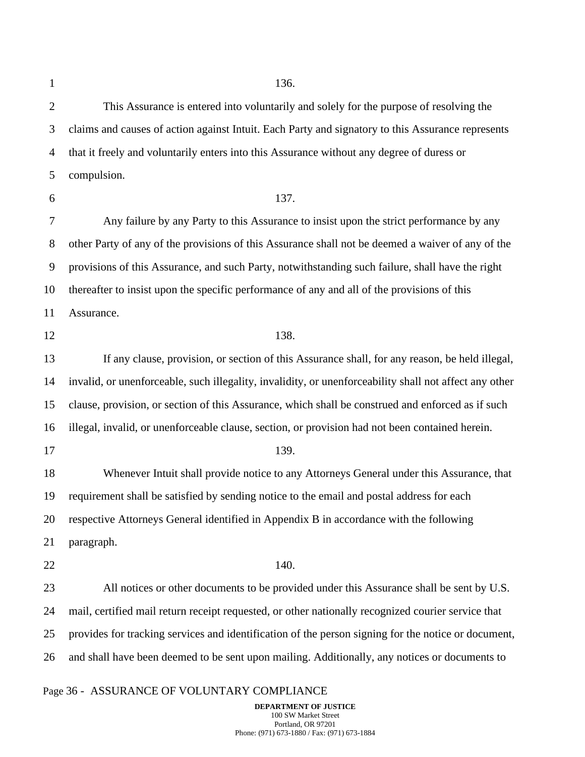1

2 3 4 5 6 7 8 9 10 11 12 13 14 15 16 17 18 19 20 21 22 23 24 25 26 This Assurance is entered into voluntarily and solely for the purpose of resolving the claims and causes of action against Intuit. Each Party and signatory to this Assurance represents that it freely and voluntarily enters into this Assurance without any degree of duress or compulsion. 137. Any failure by any Party to this Assurance to insist upon the strict performance by any other Party of any of the provisions of this Assurance shall not be deemed a waiver of any of the provisions of this Assurance, and such Party, notwithstanding such failure, shall have the right thereafter to insist upon the specific performance of any and all of the provisions of this Assurance. 138. If any clause, provision, or section of this Assurance shall, for any reason, be held illegal, invalid, or unenforceable, such illegality, invalidity, or unenforceability shall not affect any other clause, provision, or section of this Assurance, which shall be construed and enforced as if such illegal, invalid, or unenforceable clause, section, or provision had not been contained herein. 139. Whenever Intuit shall provide notice to any Attorneys General under this Assurance, that requirement shall be satisfied by sending notice to the email and postal address for each respective Attorneys General identified in Appendix B in accordance with the following paragraph. 140. All notices or other documents to be provided under this Assurance shall be sent by U.S. mail, certified mail return receipt requested, or other nationally recognized courier service that provides for tracking services and identification of the person signing for the notice or document, and shall have been deemed to be sent upon mailing. Additionally, any notices or documents to

#### Page 36 - ASSURANCE OF VOLUNTARY COMPLIANCE

**DEPARTMENT OF JUSTICE**  100 SW Market Street Portland, OR 97201 Phone: (971) 673-1880 / Fax: (971) 673-1884

136.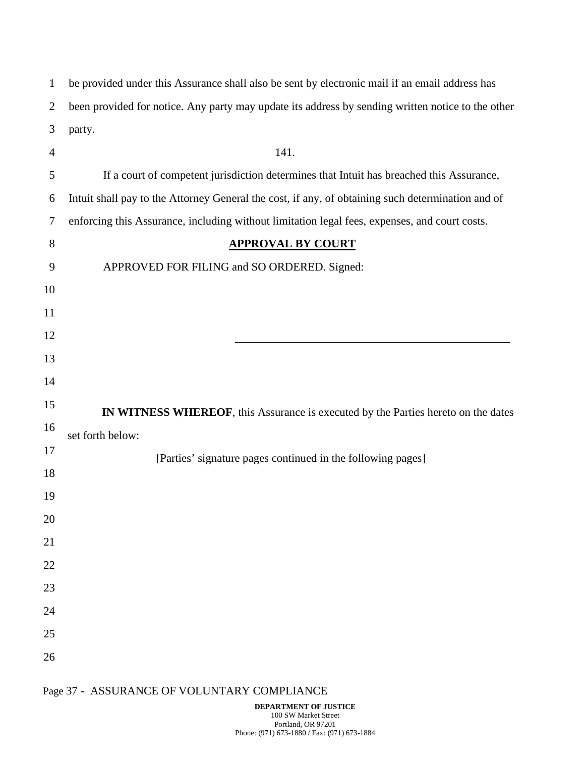| $\mathbf 1$    | be provided under this Assurance shall also be sent by electronic mail if an email address has    |
|----------------|---------------------------------------------------------------------------------------------------|
| $\overline{2}$ | been provided for notice. Any party may update its address by sending written notice to the other |
| 3              | party.                                                                                            |
| $\overline{4}$ | 141.                                                                                              |
| 5              | If a court of competent jurisdiction determines that Intuit has breached this Assurance,          |
| 6              | Intuit shall pay to the Attorney General the cost, if any, of obtaining such determination and of |
| 7              | enforcing this Assurance, including without limitation legal fees, expenses, and court costs.     |
| 8              | <b>APPROVAL BY COURT</b>                                                                          |
| 9              | APPROVED FOR FILING and SO ORDERED. Signed:                                                       |
| 10             |                                                                                                   |
| 11             |                                                                                                   |
| 12             |                                                                                                   |
| 13             |                                                                                                   |
| 14             |                                                                                                   |
| 15             | IN WITNESS WHEREOF, this Assurance is executed by the Parties hereto on the dates                 |
| 16             | set forth below:                                                                                  |
| 17             | [Parties' signature pages continued in the following pages]                                       |
| 18             |                                                                                                   |
| 19             |                                                                                                   |
| 20             |                                                                                                   |
| 21             |                                                                                                   |
| 22             |                                                                                                   |
| 23             |                                                                                                   |
| 24             |                                                                                                   |
| 25             |                                                                                                   |
| 26             |                                                                                                   |
|                |                                                                                                   |

# Page 37 - ASSURANCE OF VOLUNTARY COMPLIANCE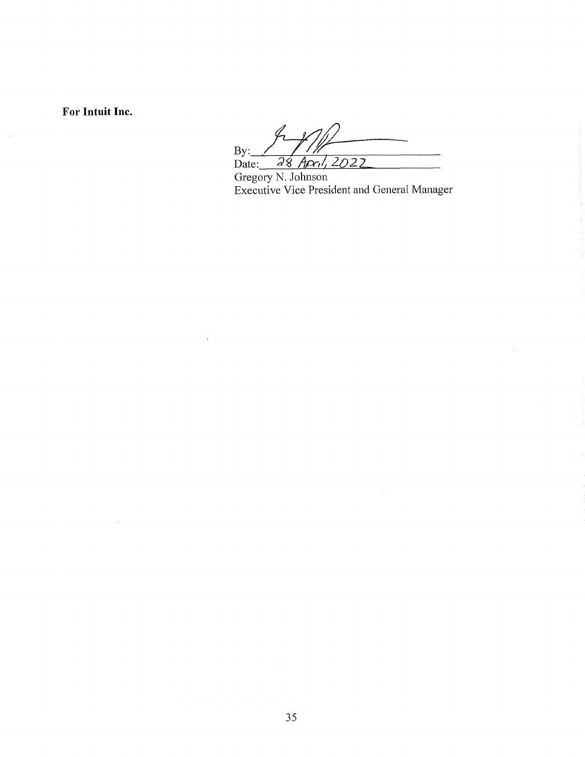For Intuit Inc.

By: 28 April, 2022 Date:

Gregory N. Johnson<br>Executive Vice President and General Manager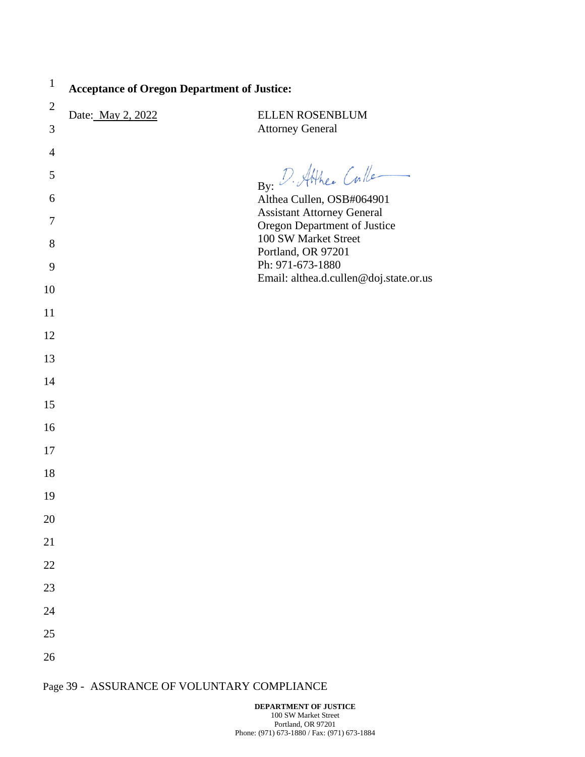| $\perp$        | <b>Acceptance of Oregon Department of Justice:</b> |                                                                |
|----------------|----------------------------------------------------|----------------------------------------------------------------|
| $\overline{2}$ | Date: May 2, 2022                                  | ELLEN ROSENBLUM                                                |
| 3              |                                                    | <b>Attorney General</b>                                        |
| $\overline{4}$ |                                                    |                                                                |
| 5              |                                                    | By: D. Atthee Culle                                            |
| 6              |                                                    | Althea Cullen, OSB#064901<br><b>Assistant Attorney General</b> |
| 7              |                                                    | Oregon Department of Justice                                   |
| $8\,$          |                                                    | 100 SW Market Street<br>Portland, OR 97201                     |
| 9              |                                                    | Ph: 971-673-1880                                               |
| 10             |                                                    | Email: althea.d.cullen@doj.state.or.us                         |
| 11             |                                                    |                                                                |
| 12             |                                                    |                                                                |
| 13             |                                                    |                                                                |
| 14             |                                                    |                                                                |
| 15             |                                                    |                                                                |
| 16             |                                                    |                                                                |
| 17             |                                                    |                                                                |
| 18             |                                                    |                                                                |
| 19             |                                                    |                                                                |
| 20             |                                                    |                                                                |
| 21             |                                                    |                                                                |
| 22             |                                                    |                                                                |
| 23             |                                                    |                                                                |
| 24             |                                                    |                                                                |
| 25             |                                                    |                                                                |
| 26             |                                                    |                                                                |

1

# Page 39 - ASSURANCE OF VOLUNTARY COMPLIANCE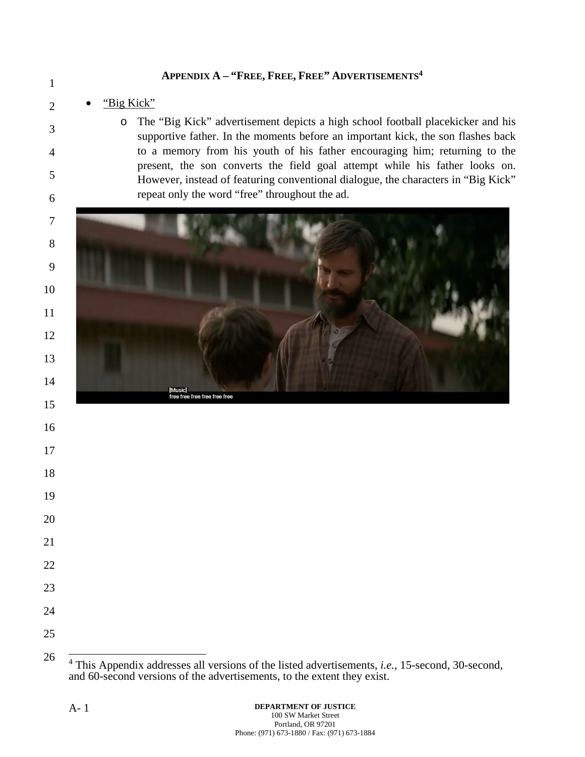### **APPENDIX A – "FREE, FREE, FREE" ADVERTISEMENTS<sup>4</sup>**

### "Big Kick"

o The "Big Kick" advertisement depicts a high school football placekicker and his supportive father. In the moments before an important kick, the son flashes back to a memory from his youth of his father encouraging him; returning to the present, the son converts the field goal attempt while his father looks on. However, instead of featuring conventional dialogue, the characters in "Big Kick" repeat only the word "free" throughout the ad.



 This Appendix addresses all versions of the listed advertisements, *i.e.*, 15-second, 30-second, and 60-second versions of the advertisements, to the extent they exist.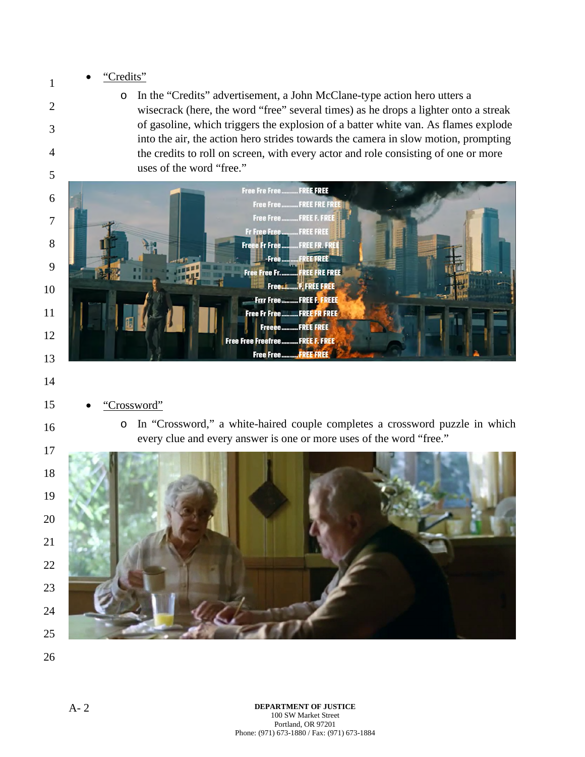### "Credits"

o In the "Credits" advertisement, a John McClane-type action hero utters a wisecrack (here, the word "free" several times) as he drops a lighter onto a streak of gasoline, which triggers the explosion of a batter white van. As flames explode into the air, the action hero strides towards the camera in slow motion, prompting the credits to roll on screen, with every actor and role consisting of one or more uses of the word "free."



- "Crossword"
	- o In "Crossword," a white-haired couple completes a crossword puzzle in which every clue and every answer is one or more uses of the word "free."

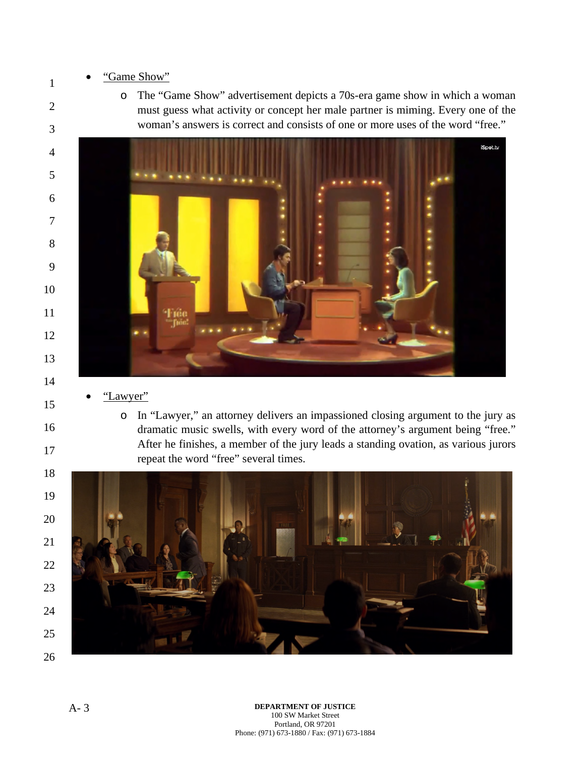### "Game Show"

o The "Game Show" advertisement depicts a 70s-era game show in which a woman must guess what activity or concept her male partner is miming. Every one of the woman's answers is correct and consists of one or more uses of the word "free."



- "Lawyer"
	- o In "Lawyer," an attorney delivers an impassioned closing argument to the jury as dramatic music swells, with every word of the attorney's argument being "free." After he finishes, a member of the jury leads a standing ovation, as various jurors repeat the word "free" several times.

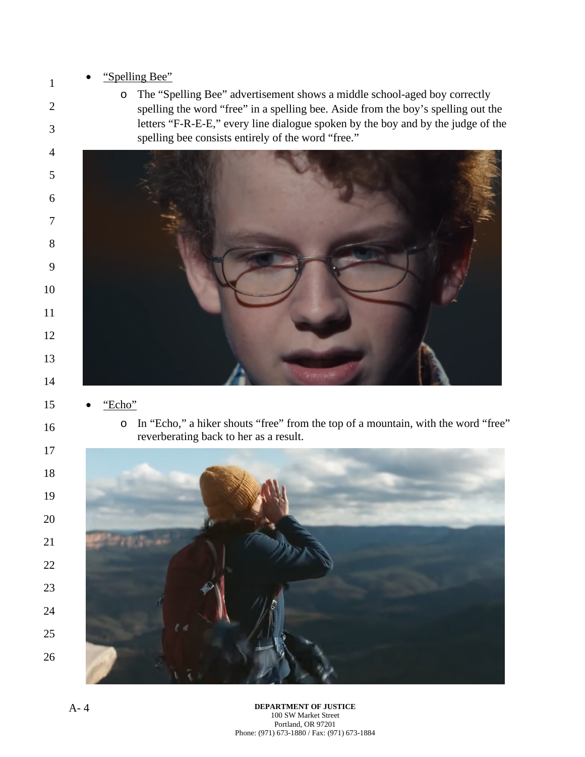### "Spelling Bee"

o The "Spelling Bee" advertisement shows a middle school-aged boy correctly spelling the word "free" in a spelling bee. Aside from the boy's spelling out the letters "F-R-E-E," every line dialogue spoken by the boy and by the judge of the spelling bee consists entirely of the word "free."



- "Echo"
	- o In "Echo," a hiker shouts "free" from the top of a mountain, with the word "free" reverberating back to her as a result.

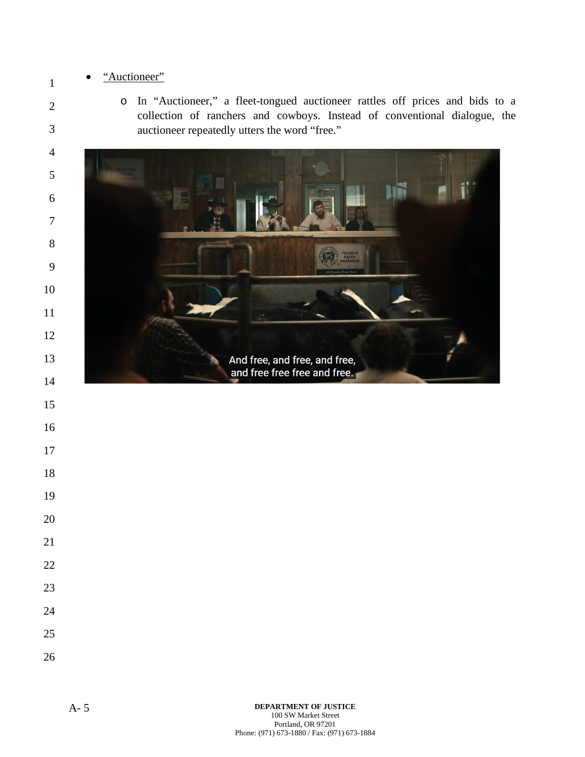### "Auctioneer"

o In "Auctioneer," a fleet-tongued auctioneer rattles off prices and bids to a collection of ranchers and cowboys. Instead of conventional dialogue, the auctioneer repeatedly utters the word "free."

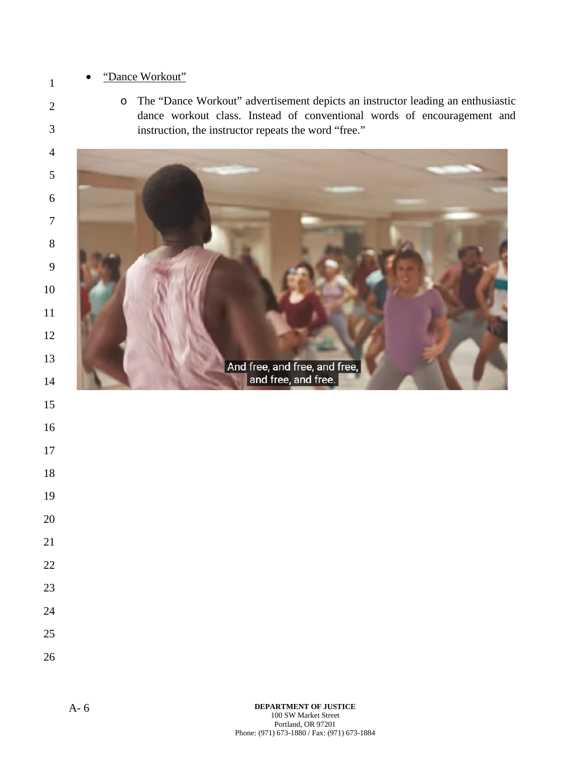### "Dance Workout"

o The "Dance Workout" advertisement depicts an instructor leading an enthusiastic dance workout class. Instead of conventional words of encouragement and instruction, the instructor repeats the word "free."



- 
- 
- 
- 
- 
- 
- 
- 
- 
- 
-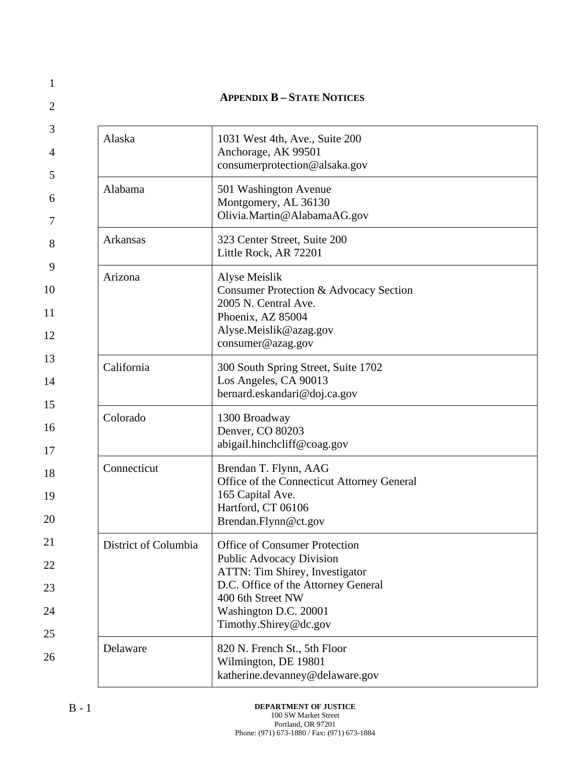|                      | <b>APPENDIX B - STATE NOTICES</b>                                                                                                                                                                                       |
|----------------------|-------------------------------------------------------------------------------------------------------------------------------------------------------------------------------------------------------------------------|
| Alaska               | 1031 West 4th, Ave., Suite 200<br>Anchorage, AK 99501<br>consumerprotection@alsaka.gov                                                                                                                                  |
| Alabama              | 501 Washington Avenue<br>Montgomery, AL 36130<br>Olivia.Martin@AlabamaAG.gov                                                                                                                                            |
| Arkansas             | 323 Center Street, Suite 200<br>Little Rock, AR 72201                                                                                                                                                                   |
| Arizona              | Alyse Meislik<br>Consumer Protection & Advocacy Section<br>2005 N. Central Ave.<br>Phoenix, AZ 85004<br>Alyse.Meislik@azag.gov<br>consumer@azag.gov                                                                     |
| California           | 300 South Spring Street, Suite 1702<br>Los Angeles, CA 90013<br>bernard.eskandari@doj.ca.gov                                                                                                                            |
| Colorado             | 1300 Broadway<br>Denver, CO 80203<br>abigail.hinchcliff@coag.gov                                                                                                                                                        |
| Connecticut          | Brendan T. Flynn, AAG<br>Office of the Connecticut Attorney General<br>165 Capital Ave.<br>Hartford, CT 06106<br>Brendan.Flynn@ct.gov                                                                                   |
| District of Columbia | <b>Office of Consumer Protection</b><br><b>Public Advocacy Division</b><br>ATTN: Tim Shirey, Investigator<br>D.C. Office of the Attorney General<br>400 6th Street NW<br>Washington D.C. 20001<br>Timothy.Shirey@dc.gov |
| Delaware             | 820 N. French St., 5th Floor<br>Wilmington, DE 19801<br>katherine.devanney@delaware.gov                                                                                                                                 |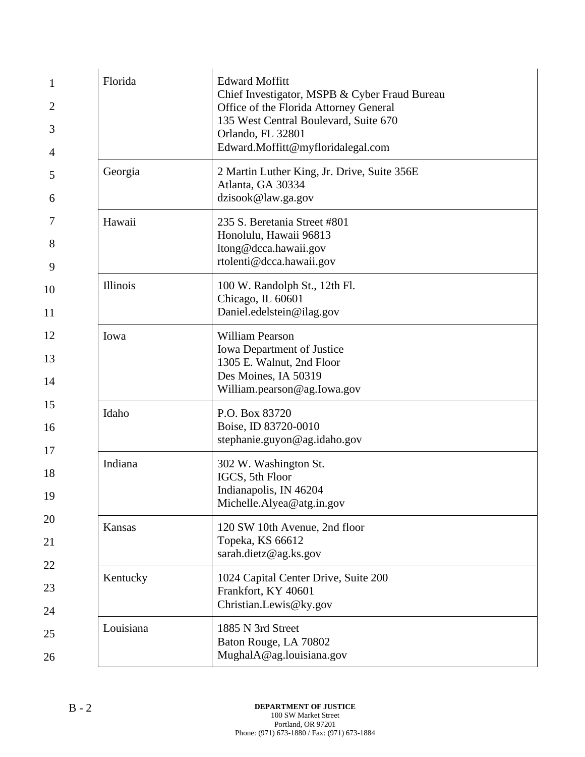| 1              | Florida         | <b>Edward Moffitt</b><br>Chief Investigator, MSPB & Cyber Fraud Bureau                 |
|----------------|-----------------|----------------------------------------------------------------------------------------|
| $\overline{2}$ |                 | Office of the Florida Attorney General                                                 |
| 3              |                 | 135 West Central Boulevard, Suite 670<br>Orlando, FL 32801                             |
| 4              |                 | Edward.Moffitt@myfloridalegal.com                                                      |
| 5<br>6         | Georgia         | 2 Martin Luther King, Jr. Drive, Suite 356E<br>Atlanta, GA 30334<br>dzisook@law.ga.gov |
| 7              | Hawaii          | 235 S. Beretania Street #801<br>Honolulu, Hawaii 96813                                 |
| 8<br>9         |                 | ltong@dcca.hawaii.gov<br>rtolenti@dcca.hawaii.gov                                      |
| 10<br>11       | <b>Illinois</b> | 100 W. Randolph St., 12th Fl.<br>Chicago, IL 60601<br>Daniel.edelstein@ilag.gov        |
| 12             |                 | <b>William Pearson</b>                                                                 |
|                | Iowa            | Iowa Department of Justice                                                             |
| 13             |                 | 1305 E. Walnut, 2nd Floor<br>Des Moines, IA 50319                                      |
| 14             |                 | William.pearson@ag.Iowa.gov                                                            |
| 15             | Idaho           | P.O. Box 83720                                                                         |
| 16             |                 | Boise, ID 83720-0010<br>stephanie.guyon@ag.idaho.gov                                   |
| 17             | Indiana         | 302 W. Washington St.                                                                  |
| 18             |                 | IGCS, 5th Floor                                                                        |
| 19             |                 | Indianapolis, IN 46204<br>Michelle.Alyea@atg.in.gov                                    |
| 20             | Kansas          | 120 SW 10th Avenue, 2nd floor                                                          |
| 21             |                 | Topeka, KS 66612                                                                       |
| 22             |                 | sarah.dietz@ag.ks.gov                                                                  |
| 23             | Kentucky        | 1024 Capital Center Drive, Suite 200<br>Frankfort, KY 40601                            |
| 24             |                 | Christian.Lewis@ky.gov                                                                 |
| 25             | Louisiana       | 1885 N 3rd Street<br>Baton Rouge, LA 70802                                             |
| 26             |                 | MughalA@ag.louisiana.gov                                                               |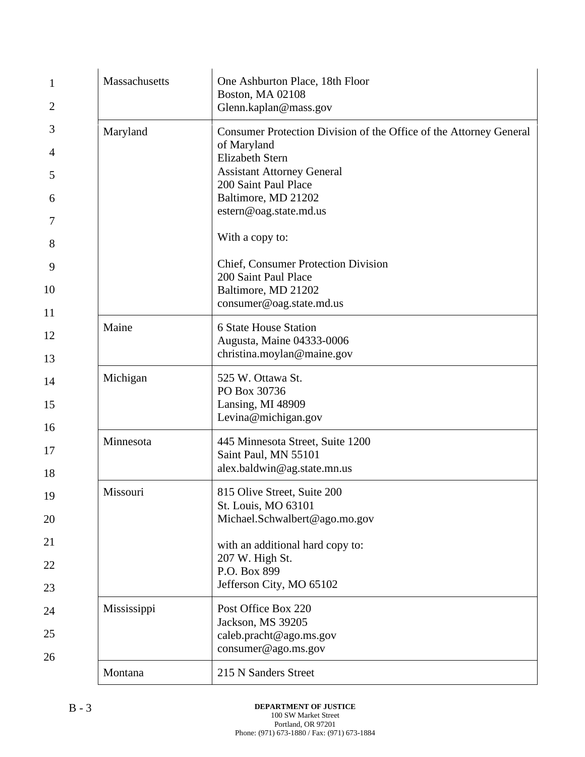| 1                         | Massachusetts | One Ashburton Place, 18th Floor<br><b>Boston, MA 02108</b>                              |
|---------------------------|---------------|-----------------------------------------------------------------------------------------|
| 2                         |               | Glenn.kaplan@mass.gov                                                                   |
| 3                         | Maryland      | Consumer Protection Division of the Office of the Attorney General                      |
| 4                         |               | of Maryland<br><b>Elizabeth Stern</b>                                                   |
| 5                         |               | <b>Assistant Attorney General</b><br>200 Saint Paul Place                               |
| 6<br>7                    |               | Baltimore, MD 21202<br>estern@oag.state.md.us                                           |
| 8                         |               | With a copy to:                                                                         |
| 9                         |               | <b>Chief, Consumer Protection Division</b><br>200 Saint Paul Place                      |
| 10<br>11                  |               | Baltimore, MD 21202<br>consumer@oag.state.md.us                                         |
| 12<br>13                  | Maine         | <b>6 State House Station</b><br>Augusta, Maine 04333-0006<br>christina.moylan@maine.gov |
| 14<br>15<br>16            | Michigan      | 525 W. Ottawa St.<br>PO Box 30736<br>Lansing, MI 48909<br>Levina@michigan.gov           |
| 17<br>18                  | Minnesota     | 445 Minnesota Street, Suite 1200<br>Saint Paul, MN 55101<br>alex.baldwin@ag.state.mn.us |
| 19<br>20                  | Missouri      | 815 Olive Street, Suite 200<br>St. Louis, MO 63101<br>Michael.Schwalbert@ago.mo.gov     |
| 21                        |               | with an additional hard copy to:                                                        |
| 22                        |               | 207 W. High St.<br>P.O. Box 899                                                         |
| 23                        |               | Jefferson City, MO 65102                                                                |
| 24                        | Mississippi   | Post Office Box 220<br>Jackson, MS 39205                                                |
| 25                        |               | caleb.pracht@ago.ms.gov                                                                 |
| consumer@ago.ms.gov<br>26 |               |                                                                                         |
|                           | Montana       | 215 N Sanders Street                                                                    |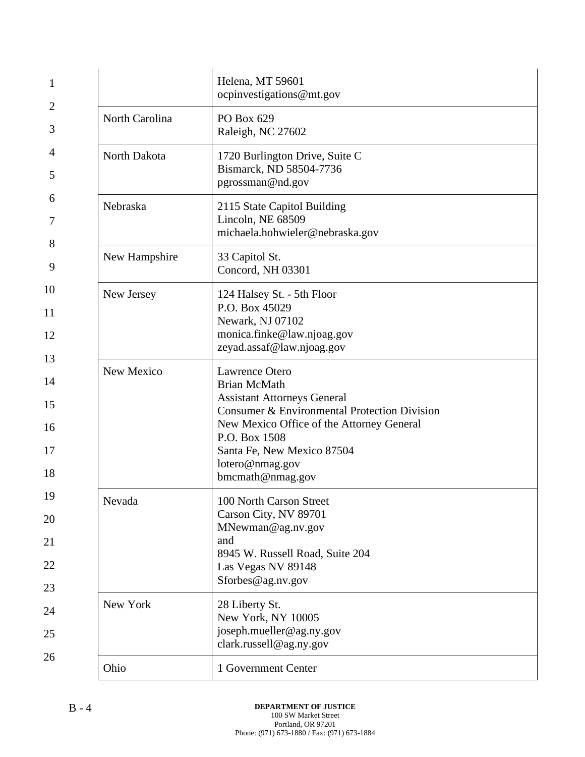| 1                          |                | Helena, MT 59601<br>ocpinvestigations@mt.gov                                                                                                                                                                                                                   |
|----------------------------|----------------|----------------------------------------------------------------------------------------------------------------------------------------------------------------------------------------------------------------------------------------------------------------|
| 2<br>3                     | North Carolina | PO Box 629<br>Raleigh, NC 27602                                                                                                                                                                                                                                |
| 4<br>5                     | North Dakota   | 1720 Burlington Drive, Suite C<br>Bismarck, ND 58504-7736<br>pgrossman@nd.gov                                                                                                                                                                                  |
| 6<br>7                     | Nebraska       | 2115 State Capitol Building<br>Lincoln, NE 68509<br>michaela.hohwieler@nebraska.gov                                                                                                                                                                            |
| 8<br>9                     | New Hampshire  | 33 Capitol St.<br>Concord, NH 03301                                                                                                                                                                                                                            |
| 10<br>11<br>12<br>13       | New Jersey     | 124 Halsey St. - 5th Floor<br>P.O. Box 45029<br>Newark, NJ 07102<br>monica.finke@law.njoag.gov<br>zeyad.assaf@law.njoag.gov                                                                                                                                    |
| 14<br>15<br>16<br>17<br>18 | New Mexico     | Lawrence Otero<br><b>Brian McMath</b><br><b>Assistant Attorneys General</b><br>Consumer & Environmental Protection Division<br>New Mexico Office of the Attorney General<br>P.O. Box 1508<br>Santa Fe, New Mexico 87504<br>lotero@nmag.gov<br>bmcmath@nmag.gov |
| 19<br>20<br>21<br>22<br>23 | Nevada         | 100 North Carson Street<br>Carson City, NV 89701<br>MNewman@ag.nv.gov<br>and<br>8945 W. Russell Road, Suite 204<br>Las Vegas NV 89148<br>Sforbes@ag.nv.gov                                                                                                     |
| 24<br>25                   | New York       | 28 Liberty St.<br>New York, NY 10005<br>joseph.mueller@ag.ny.gov<br>clark.russell@ag.ny.gov                                                                                                                                                                    |
| 26                         | Ohio           | 1 Government Center                                                                                                                                                                                                                                            |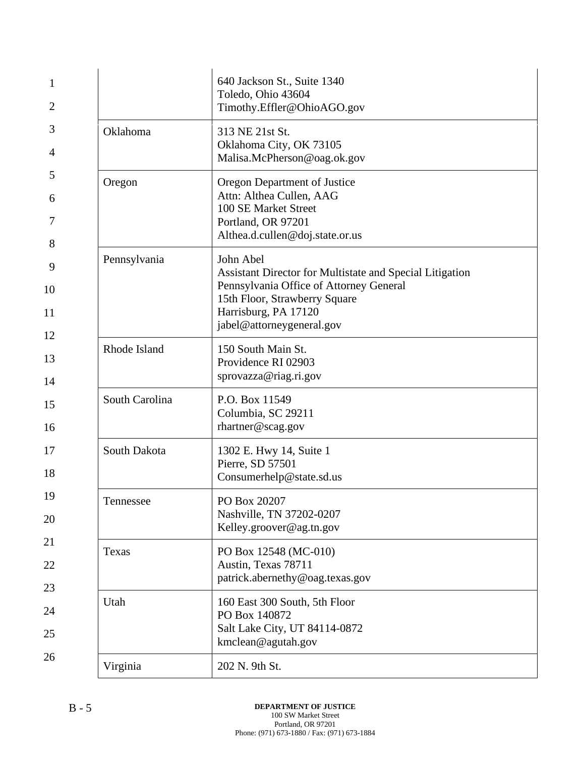| 1<br>2              |                | 640 Jackson St., Suite 1340<br>Toledo, Ohio 43604<br>Timothy.Effler@OhioAGO.gov                                                                                                                               |
|---------------------|----------------|---------------------------------------------------------------------------------------------------------------------------------------------------------------------------------------------------------------|
| 3<br>4              | Oklahoma       | 313 NE 21st St.<br>Oklahoma City, OK 73105<br>Malisa.McPherson@oag.ok.gov                                                                                                                                     |
| 5<br>6<br>7<br>8    | Oregon         | Oregon Department of Justice<br>Attn: Althea Cullen, AAG<br>100 SE Market Street<br>Portland, OR 97201<br>Althea.d.cullen@doj.state.or.us                                                                     |
| 9<br>10<br>11<br>12 | Pennsylvania   | John Abel<br><b>Assistant Director for Multistate and Special Litigation</b><br>Pennsylvania Office of Attorney General<br>15th Floor, Strawberry Square<br>Harrisburg, PA 17120<br>jabel@attorneygeneral.gov |
| 13<br>14            | Rhode Island   | 150 South Main St.<br>Providence RI 02903<br>sprovazza@riag.ri.gov                                                                                                                                            |
| 15<br>16            | South Carolina | P.O. Box 11549<br>Columbia, SC 29211<br>rhartner@scag.gov                                                                                                                                                     |
| 17<br>18            | South Dakota   | 1302 E. Hwy 14, Suite 1<br>Pierre, SD 57501<br>Consumerhelp@state.sd.us                                                                                                                                       |
| 19<br>20            | Tennessee      | PO Box 20207<br>Nashville, TN 37202-0207<br>Kelley.groover@ag.tn.gov                                                                                                                                          |
| 21<br>22<br>23      | Texas          | PO Box 12548 (MC-010)<br>Austin, Texas 78711<br>patrick.abernethy@oag.texas.gov                                                                                                                               |
| 24<br>25            | Utah           | 160 East 300 South, 5th Floor<br>PO Box 140872<br>Salt Lake City, UT 84114-0872<br>kmclean@agutah.gov                                                                                                         |
| 26                  | Virginia       | 202 N. 9th St.                                                                                                                                                                                                |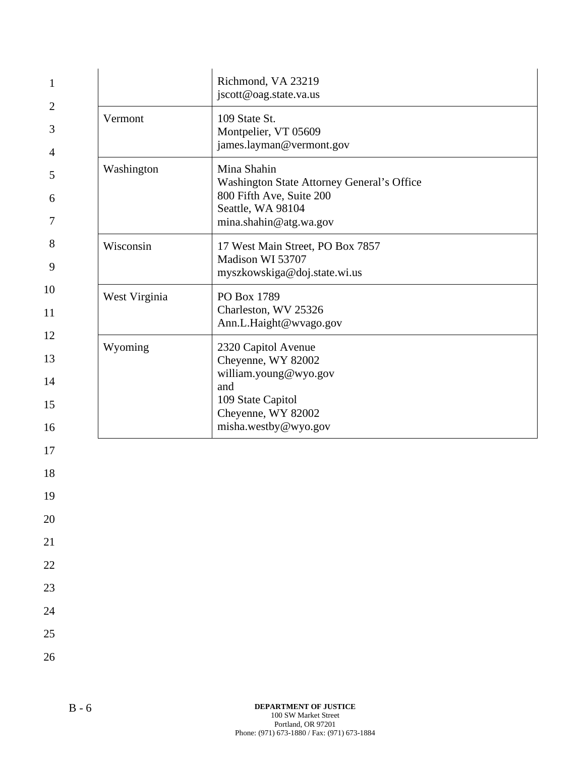| 1                          |               | Richmond, VA 23219<br>jscott@oag.state.va.us                                                                                                 |
|----------------------------|---------------|----------------------------------------------------------------------------------------------------------------------------------------------|
| $\overline{2}$<br>3<br>4   | Vermont       | 109 State St.<br>Montpelier, VT 05609<br>james.layman@vermont.gov                                                                            |
| 5<br>6<br>7                | Washington    | Mina Shahin<br>Washington State Attorney General's Office<br>800 Fifth Ave, Suite 200<br>Seattle, WA 98104<br>mina.shahin@atg.wa.gov         |
| 8<br>9                     | Wisconsin     | 17 West Main Street, PO Box 7857<br>Madison WI 53707<br>myszkowskiga@doj.state.wi.us                                                         |
| 10<br>11                   | West Virginia | PO Box 1789<br>Charleston, WV 25326<br>Ann.L.Haight@wvago.gov                                                                                |
| 12<br>13<br>14<br>15<br>16 | Wyoming       | 2320 Capitol Avenue<br>Cheyenne, WY 82002<br>william.young@wyo.gov<br>and<br>109 State Capitol<br>Cheyenne, WY 82002<br>misha.westby@wyo.gov |
| 17<br>18<br>19             |               |                                                                                                                                              |
| 20<br>21                   |               |                                                                                                                                              |
| 22                         |               |                                                                                                                                              |
| 23<br>24                   |               |                                                                                                                                              |
| 25                         |               |                                                                                                                                              |
| 26                         |               |                                                                                                                                              |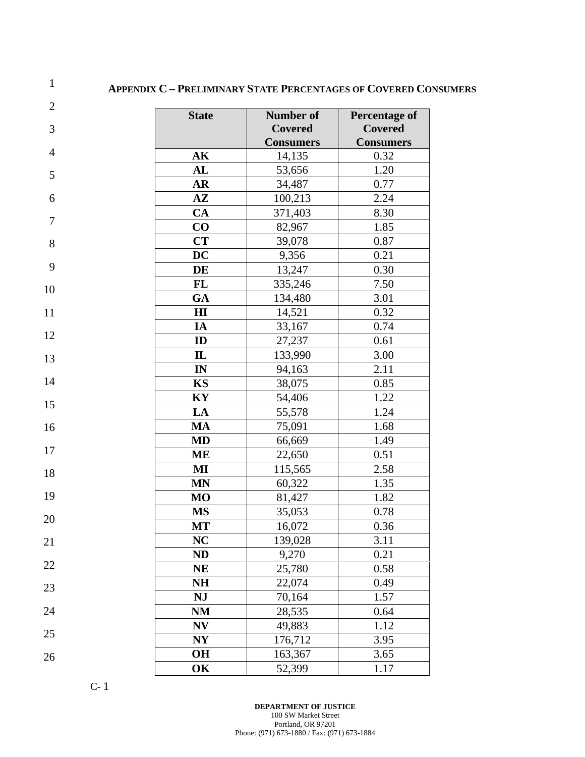### **APPENDIX C – PRELIMINARY STATE PERCENTAGES OF COVERED CONSUMERS**

| $\mathbf{2}$     | <b>State</b>   | Number of        | <b>Percentage of</b> |
|------------------|----------------|------------------|----------------------|
| 3                |                | <b>Covered</b>   | <b>Covered</b>       |
|                  |                | <b>Consumers</b> | <b>Consumers</b>     |
| $\overline{4}$   | AK             | 14,135           | 0.32                 |
| 5                | AL             | 53,656           | 1.20                 |
|                  | AR             | 34,487           | 0.77                 |
| 6                | $A\mathbf{Z}$  | 100,213          | 2.24                 |
|                  | CA             | 371,403          | 8.30                 |
| $\boldsymbol{7}$ | CO             | 82,967           | 1.85                 |
| $8\,$            | <b>CT</b>      | 39,078           | 0.87                 |
|                  | <b>DC</b>      | 9,356            | 0.21                 |
| 9                | DE             | 13,247           | 0.30                 |
| 10               | FL             | 335,246          | 7.50                 |
|                  | GA             | 134,480          | 3.01                 |
| 11               | H I            | 14,521           | 0.32                 |
|                  | IA             | 33,167           | 0.74                 |
| 12               | ID             | 27,237           | 0.61                 |
| 13               | $\mathbf{I}$   | 133,990          | 3.00                 |
|                  | IN             | 94,163           | 2.11                 |
| 14               | KS             | 38,075           | 0.85                 |
| 15               | KY             | 54,406           | 1.22                 |
|                  | LA             | 55,578           | 1.24                 |
| 16               | MA             | 75,091           | 1.68                 |
|                  | MD             | 66,669           | 1.49                 |
| 17               | ME             | 22,650           | 0.51                 |
| 18               | MI             | 115,565          | 2.58                 |
|                  | <b>MN</b>      | 60,322           | 1.35                 |
| 19               | <b>MO</b>      | 81,427           | 1.82                 |
| 20               | <b>MS</b>      | 35,053           | 0.78                 |
|                  | MT             | 16,072           | 0.36                 |
| 21               | <b>NC</b>      | 139,028          | 3.11                 |
|                  | <b>ND</b>      | 9,270            | 0.21                 |
| 22               | <b>NE</b>      | 25,780           | 0.58                 |
| 23               | NH             | 22,074           | 0.49                 |
|                  | <b>NJ</b>      | 70,164           | 1.57                 |
| 24               | NM             | 28,535           | 0.64                 |
|                  | N V            | 49,883           | 1.12                 |
| 25               | N <sub>Y</sub> | 176,712          | 3.95                 |
| 26               | <b>OH</b>      | 163,367          | 3.65                 |
|                  | OK             | 52,399           | 1.17                 |

C- 1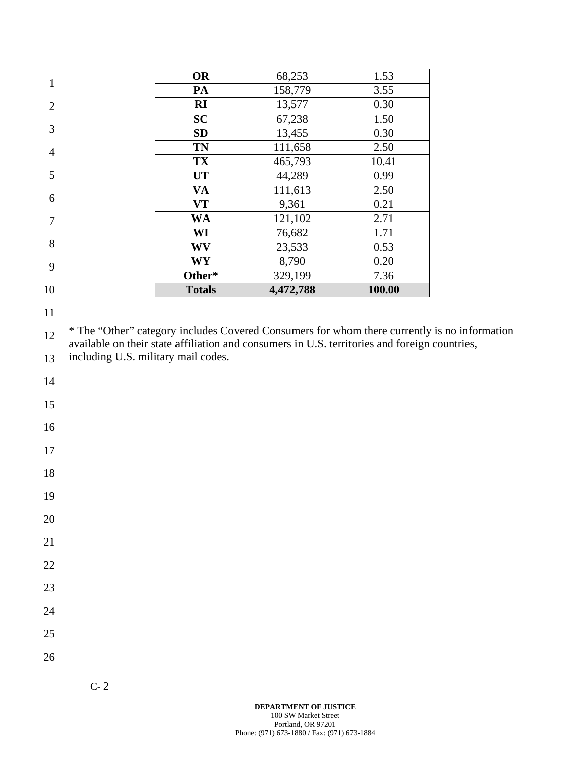| 10             | <b>Totals</b>         | 4,472,788 | 100.00 |
|----------------|-----------------------|-----------|--------|
|                | Other*                | 329,199   | 7.36   |
| 9              | <b>WY</b>             | 8,790     | 0.20   |
| 8              | WV                    | 23,533    | 0.53   |
|                | WI                    | 76,682    | 1.71   |
| 7              | <b>WA</b>             | 121,102   | 2.71   |
| 6              | <b>VT</b>             | 9,361     | 0.21   |
|                | VA                    | 111,613   | 2.50   |
| 5              | <b>UT</b>             | 44,289    | 0.99   |
|                | <b>TX</b>             | 465,793   | 10.41  |
| $\overline{4}$ | <b>TN</b>             | 111,658   | 2.50   |
| 3              | <b>SD</b>             | 13,455    | 0.30   |
|                | <b>SC</b>             | 67,238    | 1.50   |
| $\overline{2}$ | $\mathbf{R}$ <b>I</b> | 13,577    | 0.30   |
| $\mathbf{1}$   | PA                    | 158,779   | 3.55   |
|                | <b>OR</b>             | 68,253    | 1.53   |

11

12 13 \* The "Other" category includes Covered Consumers for whom there currently is no information available on their state affiliation and consumers in U.S. territories and foreign countries, including U.S. military mail codes.

- 14
- 
- 15
- 16
- 17

- 19
- 20
- 
- 21
- 22
- 23
- 24
- 25
- 26